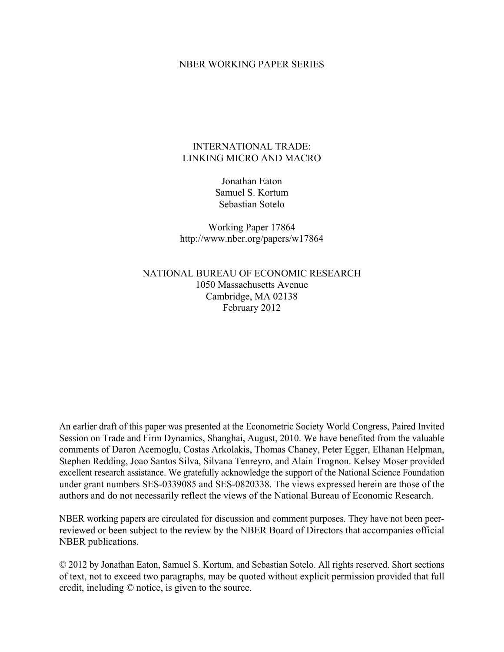### NBER WORKING PAPER SERIES

## INTERNATIONAL TRADE: LINKING MICRO AND MACRO

Jonathan Eaton Samuel S. Kortum Sebastian Sotelo

Working Paper 17864 http://www.nber.org/papers/w17864

NATIONAL BUREAU OF ECONOMIC RESEARCH 1050 Massachusetts Avenue Cambridge, MA 02138 February 2012

An earlier draft of this paper was presented at the Econometric Society World Congress, Paired Invited Session on Trade and Firm Dynamics, Shanghai, August, 2010. We have benefited from the valuable comments of Daron Acemoglu, Costas Arkolakis, Thomas Chaney, Peter Egger, Elhanan Helpman, Stephen Redding, Joao Santos Silva, Silvana Tenreyro, and Alain Trognon. Kelsey Moser provided excellent research assistance. We gratefully acknowledge the support of the National Science Foundation under grant numbers SES-0339085 and SES-0820338. The views expressed herein are those of the authors and do not necessarily reflect the views of the National Bureau of Economic Research.

NBER working papers are circulated for discussion and comment purposes. They have not been peerreviewed or been subject to the review by the NBER Board of Directors that accompanies official NBER publications.

© 2012 by Jonathan Eaton, Samuel S. Kortum, and Sebastian Sotelo. All rights reserved. Short sections of text, not to exceed two paragraphs, may be quoted without explicit permission provided that full credit, including © notice, is given to the source.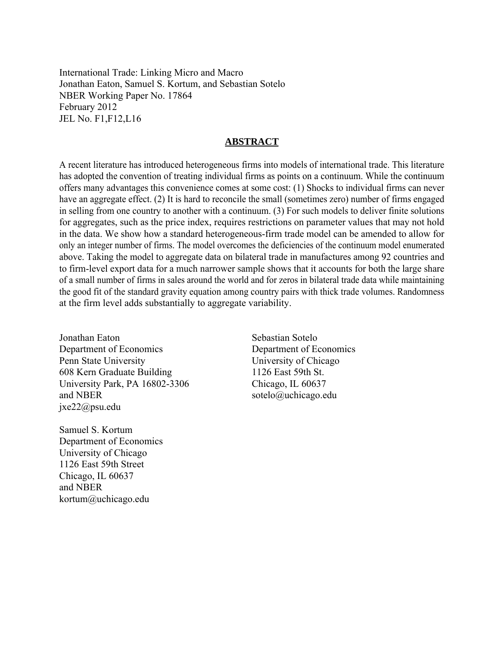International Trade: Linking Micro and Macro Jonathan Eaton, Samuel S. Kortum, and Sebastian Sotelo NBER Working Paper No. 17864 February 2012 JEL No. F1,F12,L16

## **ABSTRACT**

A recent literature has introduced heterogeneous firms into models of international trade. This literature has adopted the convention of treating individual firms as points on a continuum. While the continuum offers many advantages this convenience comes at some cost: (1) Shocks to individual firms can never have an aggregate effect. (2) It is hard to reconcile the small (sometimes zero) number of firms engaged in selling from one country to another with a continuum. (3) For such models to deliver finite solutions for aggregates, such as the price index, requires restrictions on parameter values that may not hold in the data. We show how a standard heterogeneous-firm trade model can be amended to allow for only an integer number of firms. The model overcomes the deficiencies of the continuum model enumerated above. Taking the model to aggregate data on bilateral trade in manufactures among 92 countries and to firm-level export data for a much narrower sample shows that it accounts for both the large share of a small number of firms in sales around the world and for zeros in bilateral trade data while maintaining the good fit of the standard gravity equation among country pairs with thick trade volumes. Randomness at the firm level adds substantially to aggregate variability.

Jonathan Eaton Department of Economics Penn State University 608 Kern Graduate Building University Park, PA 16802-3306 and NBER jxe22@psu.edu

Samuel S. Kortum Department of Economics University of Chicago 1126 East 59th Street Chicago, IL 60637 and NBER kortum@uchicago.edu

Sebastian Sotelo Department of Economics University of Chicago 1126 East 59th St. Chicago, IL 60637 sotelo@uchicago.edu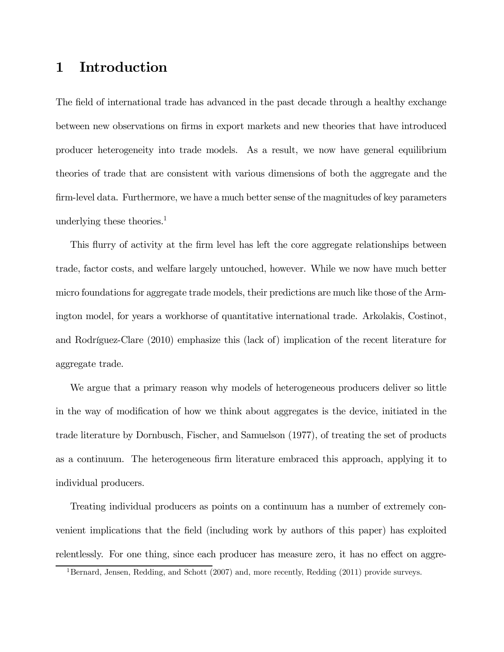# 1 Introduction

The field of international trade has advanced in the past decade through a healthy exchange between new observations on firms in export markets and new theories that have introduced producer heterogeneity into trade models. As a result, we now have general equilibrium theories of trade that are consistent with various dimensions of both the aggregate and the firm-level data. Furthermore, we have a much better sense of the magnitudes of key parameters underlying these theories.<sup>1</sup>

This flurry of activity at the firm level has left the core aggregate relationships between trade, factor costs, and welfare largely untouched, however. While we now have much better micro foundations for aggregate trade models, their predictions are much like those of the Armington model, for years a workhorse of quantitative international trade. Arkolakis, Costinot, and Rodríguez-Clare (2010) emphasize this (lack of) implication of the recent literature for aggregate trade.

We argue that a primary reason why models of heterogeneous producers deliver so little in the way of modification of how we think about aggregates is the device, initiated in the trade literature by Dornbusch, Fischer, and Samuelson (1977), of treating the set of products as a continuum. The heterogeneous firm literature embraced this approach, applying it to individual producers.

Treating individual producers as points on a continuum has a number of extremely convenient implications that the field (including work by authors of this paper) has exploited relentlessly. For one thing, since each producer has measure zero, it has no effect on aggre-

<sup>&</sup>lt;sup>1</sup>Bernard, Jensen, Redding, and Schott (2007) and, more recently, Redding (2011) provide surveys.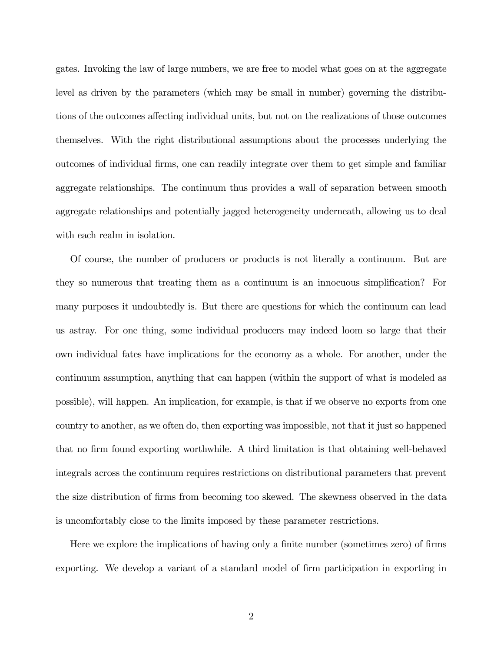gates. Invoking the law of large numbers, we are free to model what goes on at the aggregate level as driven by the parameters (which may be small in number) governing the distributions of the outcomes affecting individual units, but not on the realizations of those outcomes themselves. With the right distributional assumptions about the processes underlying the outcomes of individual firms, one can readily integrate over them to get simple and familiar aggregate relationships. The continuum thus provides a wall of separation between smooth aggregate relationships and potentially jagged heterogeneity underneath, allowing us to deal with each realm in isolation.

Of course, the number of producers or products is not literally a continuum. But are they so numerous that treating them as a continuum is an innocuous simplification? For many purposes it undoubtedly is. But there are questions for which the continuum can lead us astray. For one thing, some individual producers may indeed loom so large that their own individual fates have implications for the economy as a whole. For another, under the continuum assumption, anything that can happen (within the support of what is modeled as possible), will happen. An implication, for example, is that if we observe no exports from one country to another, as we often do, then exporting was impossible, not that it just so happened that no firm found exporting worthwhile. A third limitation is that obtaining well-behaved integrals across the continuum requires restrictions on distributional parameters that prevent the size distribution of firms from becoming too skewed. The skewness observed in the data is uncomfortably close to the limits imposed by these parameter restrictions.

Here we explore the implications of having only a finite number (sometimes zero) of firms exporting. We develop a variant of a standard model of firm participation in exporting in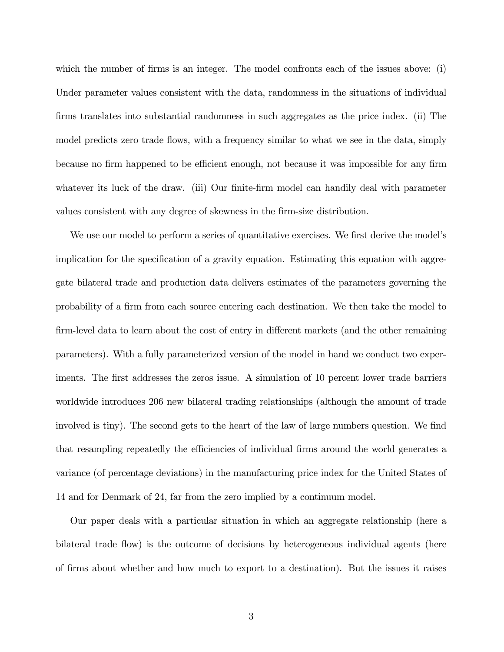which the number of firms is an integer. The model confronts each of the issues above: (i) Under parameter values consistent with the data, randomness in the situations of individual firms translates into substantial randomness in such aggregates as the price index. (ii) The model predicts zero trade flows, with a frequency similar to what we see in the data, simply because no firm happened to be efficient enough, not because it was impossible for any firm whatever its luck of the draw. (iii) Our finite-firm model can handily deal with parameter values consistent with any degree of skewness in the firm-size distribution.

We use our model to perform a series of quantitative exercises. We first derive the model's implication for the specification of a gravity equation. Estimating this equation with aggregate bilateral trade and production data delivers estimates of the parameters governing the probability of a firm from each source entering each destination. We then take the model to firm-level data to learn about the cost of entry in different markets (and the other remaining parameters). With a fully parameterized version of the model in hand we conduct two experiments. The first addresses the zeros issue. A simulation of 10 percent lower trade barriers worldwide introduces 206 new bilateral trading relationships (although the amount of trade involved is tiny). The second gets to the heart of the law of large numbers question. We find that resampling repeatedly the efficiencies of individual firms around the world generates a variance (of percentage deviations) in the manufacturing price index for the United States of 14 and for Denmark of 24, far from the zero implied by a continuum model.

Our paper deals with a particular situation in which an aggregate relationship (here a bilateral trade flow) is the outcome of decisions by heterogeneous individual agents (here of firms about whether and how much to export to a destination). But the issues it raises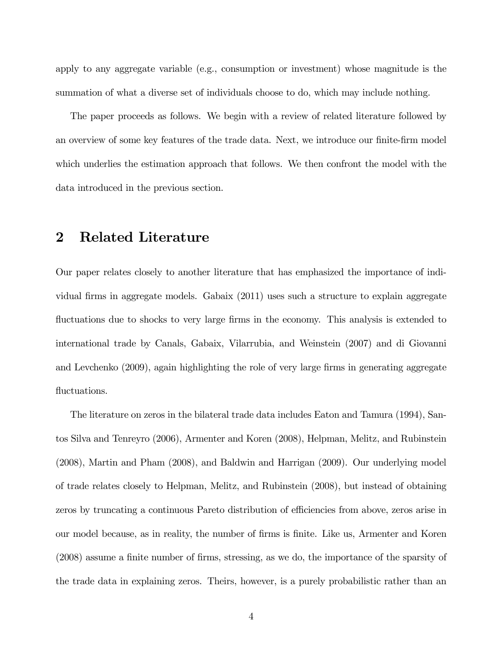apply to any aggregate variable (e.g., consumption or investment) whose magnitude is the summation of what a diverse set of individuals choose to do, which may include nothing.

The paper proceeds as follows. We begin with a review of related literature followed by an overview of some key features of the trade data. Next, we introduce our finite-firm model which underlies the estimation approach that follows. We then confront the model with the data introduced in the previous section.

# 2 Related Literature

Our paper relates closely to another literature that has emphasized the importance of individual firms in aggregate models. Gabaix (2011) uses such a structure to explain aggregate fluctuations due to shocks to very large firms in the economy. This analysis is extended to international trade by Canals, Gabaix, Vilarrubia, and Weinstein (2007) and di Giovanni and Levchenko (2009), again highlighting the role of very large firms in generating aggregate fluctuations.

The literature on zeros in the bilateral trade data includes Eaton and Tamura (1994), Santos Silva and Tenreyro (2006), Armenter and Koren (2008), Helpman, Melitz, and Rubinstein (2008), Martin and Pham (2008), and Baldwin and Harrigan (2009). Our underlying model of trade relates closely to Helpman, Melitz, and Rubinstein (2008), but instead of obtaining zeros by truncating a continuous Pareto distribution of efficiencies from above, zeros arise in our model because, as in reality, the number of firms is finite. Like us, Armenter and Koren (2008) assume a finite number of firms, stressing, as we do, the importance of the sparsity of the trade data in explaining zeros. Theirs, however, is a purely probabilistic rather than an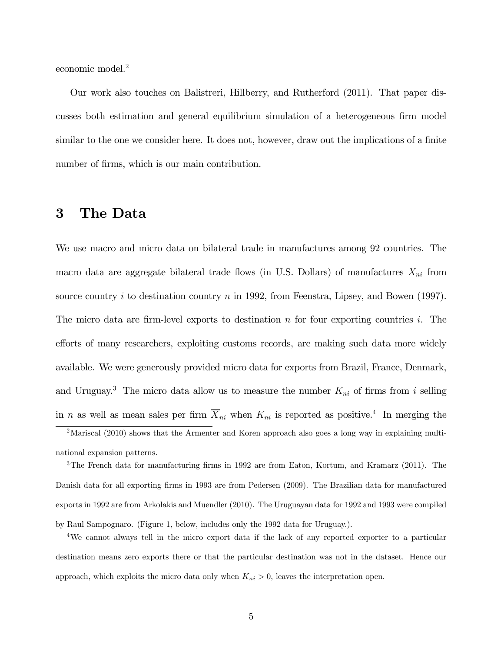economic model.<sup>2</sup>

Our work also touches on Balistreri, Hillberry, and Rutherford (2011). That paper discusses both estimation and general equilibrium simulation of a heterogeneous firm model similar to the one we consider here. It does not, however, draw out the implications of a finite number of firms, which is our main contribution.

# 3 The Data

We use macro and micro data on bilateral trade in manufactures among 92 countries. The macro data are aggregate bilateral trade flows (in U.S. Dollars) of manufactures  $X_{ni}$  from source country  $i$  to destination country  $n$  in 1992, from Feenstra, Lipsey, and Bowen (1997). The micro data are firm-level exports to destination  $n$  for four exporting countries  $i$ . The efforts of many researchers, exploiting customs records, are making such data more widely available. We were generously provided micro data for exports from Brazil, France, Denmark, and Uruguay.<sup>3</sup> The micro data allow us to measure the number  $K_{ni}$  of firms from *i* selling in *n* as well as mean sales per firm  $\overline{X}_{ni}$  when  $K_{ni}$  is reported as positive.<sup>4</sup> In merging the

3The French data for manufacturing firms in 1992 are from Eaton, Kortum, and Kramarz (2011). The Danish data for all exporting firms in 1993 are from Pedersen (2009). The Brazilian data for manufactured exports in 1992 are from Arkolakis and Muendler (2010). The Uruguayan data for 1992 and 1993 were compiled by Raul Sampognaro. (Figure 1, below, includes only the 1992 data for Uruguay.).

<sup>&</sup>lt;sup>2</sup>Mariscal (2010) shows that the Armenter and Koren approach also goes a long way in explaining multinational expansion patterns.

<sup>4</sup>We cannot always tell in the micro export data if the lack of any reported exporter to a particular destination means zero exports there or that the particular destination was not in the dataset. Hence our approach, which exploits the micro data only when  $K_{ni} > 0$ , leaves the interpretation open.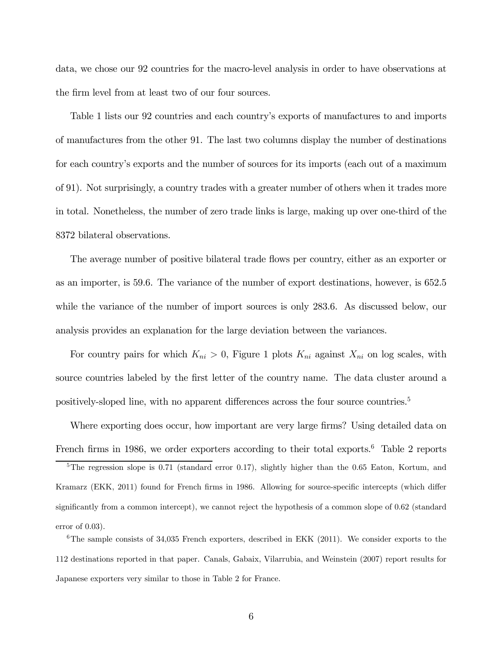data, we chose our 92 countries for the macro-level analysis in order to have observations at the firm level from at least two of our four sources.

Table 1 lists our 92 countries and each country's exports of manufactures to and imports of manufactures from the other 91. The last two columns display the number of destinations for each country's exports and the number of sources for its imports (each out of a maximum of 91). Not surprisingly, a country trades with a greater number of others when it trades more in total. Nonetheless, the number of zero trade links is large, making up over one-third of the 8372 bilateral observations.

The average number of positive bilateral trade flows per country, either as an exporter or as an importer, is 59.6. The variance of the number of export destinations, however, is 652.5 while the variance of the number of import sources is only 283.6. As discussed below, our analysis provides an explanation for the large deviation between the variances.

For country pairs for which  $K_{ni} > 0$ , Figure 1 plots  $K_{ni}$  against  $X_{ni}$  on log scales, with source countries labeled by the first letter of the country name. The data cluster around a positively-sloped line, with no apparent differences across the four source countries.<sup>5</sup>

Where exporting does occur, how important are very large firms? Using detailed data on French firms in 1986, we order exporters according to their total exports.<sup>6</sup> Table 2 reports

<sup>5</sup>The regression slope is 0.71 (standard error 0.17), slightly higher than the 0.65 Eaton, Kortum, and Kramarz (EKK, 2011) found for French firms in 1986. Allowing for source-specific intercepts (which differ significantly from a common intercept), we cannot reject the hypothesis of a common slope of 062 (standard error of  $0.03$ ).

 $6$ The sample consists of 34,035 French exporters, described in EKK (2011). We consider exports to the 112 destinations reported in that paper. Canals, Gabaix, Vilarrubia, and Weinstein (2007) report results for Japanese exporters very similar to those in Table 2 for France.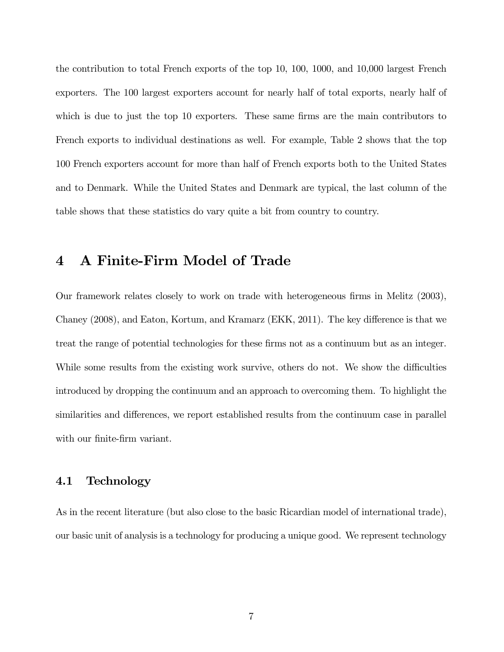the contribution to total French exports of the top 10, 100, 1000, and 10,000 largest French exporters. The 100 largest exporters account for nearly half of total exports, nearly half of which is due to just the top 10 exporters. These same firms are the main contributors to French exports to individual destinations as well. For example, Table 2 shows that the top 100 French exporters account for more than half of French exports both to the United States and to Denmark. While the United States and Denmark are typical, the last column of the table shows that these statistics do vary quite a bit from country to country.

# 4 A Finite-Firm Model of Trade

Our framework relates closely to work on trade with heterogeneous firms in Melitz (2003), Chaney (2008), and Eaton, Kortum, and Kramarz (EKK, 2011). The key difference is that we treat the range of potential technologies for these firms not as a continuum but as an integer. While some results from the existing work survive, others do not. We show the difficulties introduced by dropping the continuum and an approach to overcoming them. To highlight the similarities and differences, we report established results from the continuum case in parallel with our finite-firm variant.

## 4.1 Technology

As in the recent literature (but also close to the basic Ricardian model of international trade), our basic unit of analysis is a technology for producing a unique good. We represent technology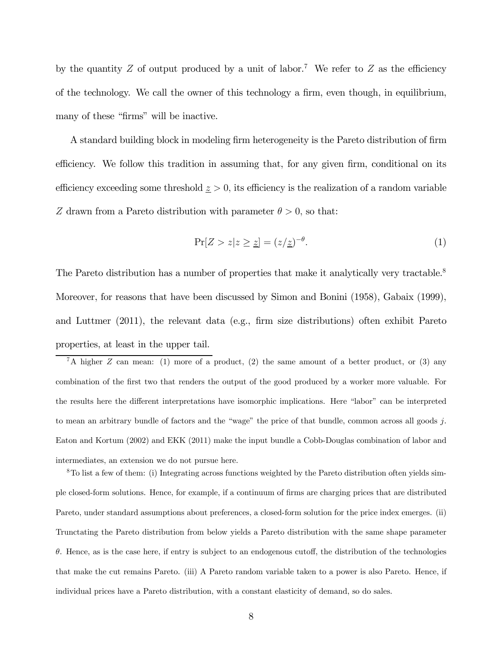by the quantity Z of output produced by a unit of labor.<sup>7</sup> We refer to Z as the efficiency of the technology. We call the owner of this technology a firm, even though, in equilibrium, many of these "firms" will be inactive.

A standard building block in modeling firm heterogeneity is the Pareto distribution of firm efficiency. We follow this tradition in assuming that, for any given firm, conditional on its efficiency exceeding some threshold  $\geq$  > 0, its efficiency is the realization of a random variable Z drawn from a Pareto distribution with parameter  $\theta > 0$ , so that:

$$
\Pr[Z > z | z \ge \underline{z}] = (z/\underline{z})^{-\theta}.
$$
\n(1)

The Pareto distribution has a number of properties that make it analytically very tractable.<sup>8</sup> Moreover, for reasons that have been discussed by Simon and Bonini (1958), Gabaix (1999), and Luttmer (2011), the relevant data (e.g., firm size distributions) often exhibit Pareto properties, at least in the upper tail.

<sup>7</sup>A higher *Z* can mean: (1) more of a product, (2) the same amount of a better product, or (3) any combination of the first two that renders the output of the good produced by a worker more valuable. For the results here the different interpretations have isomorphic implications. Here "labor" can be interpreted to mean an arbitrary bundle of factors and the "wage" the price of that bundle, common across all goods  $j$ . Eaton and Kortum (2002) and EKK (2011) make the input bundle a Cobb-Douglas combination of labor and intermediates, an extension we do not pursue here.

8To list a few of them: (i) Integrating across functions weighted by the Pareto distribution often yields simple closed-form solutions. Hence, for example, if a continuum of firms are charging prices that are distributed Pareto, under standard assumptions about preferences, a closed-form solution for the price index emerges. (ii) Trunctating the Pareto distribution from below yields a Pareto distribution with the same shape parameter  $\theta$ . Hence, as is the case here, if entry is subject to an endogenous cutoff, the distribution of the technologies that make the cut remains Pareto. (iii) A Pareto random variable taken to a power is also Pareto. Hence, if individual prices have a Pareto distribution, with a constant elasticity of demand, so do sales.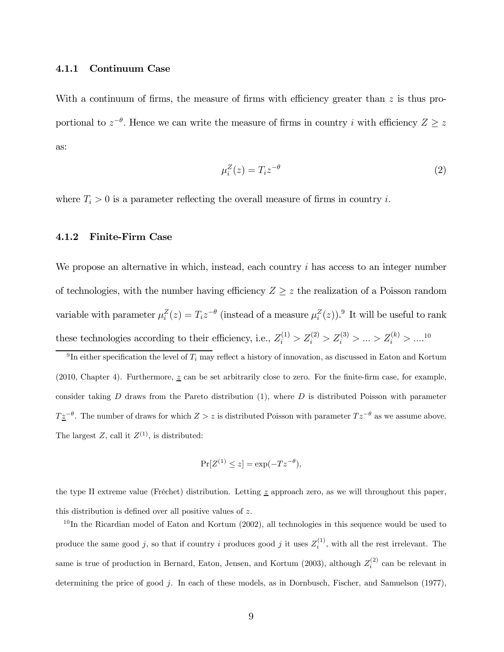#### 4.1.1 Continuum Case

With a continuum of firms, the measure of firms with efficiency greater than  $z$  is thus proportional to  $z^{-\theta}$ . Hence we can write the measure of firms in country *i* with efficiency  $Z \geq z$ as:

$$
\mu_i^Z(z) = T_i z^{-\theta} \tag{2}
$$

where  $T_i > 0$  is a parameter reflecting the overall measure of firms in country *i*.

#### 4.1.2 Finite-Firm Case

We propose an alternative in which, instead, each country  $i$  has access to an integer number of technologies, with the number having efficiency  $Z \geq z$  the realization of a Poisson random variable with parameter  $\mu_i^Z(z) = T_i z^{-\theta}$  (instead of a measure  $\mu_i^Z(z)$ ).<sup>9</sup> It will be useful to rank these technologies according to their efficiency, i.e.,  $Z_i^{(1)} > Z_i^{(2)} > Z_i^{(3)} > ... > Z_i^{(k)} > ...^{10}$ 

<sup>9</sup>In either specification the level of  $T_i$  may reflect a history of innovation, as discussed in Eaton and Kortum (2010, Chapter 4). Furthermore,  $z$  can be set arbitrarily close to zero. For the finite-firm case, for example, consider taking  $D$  draws from the Pareto distribution  $(1)$ , where  $D$  is distributed Poisson with parameter  $T\underline{z}^{-\theta}$ . The number of draws for which  $Z > z$  is distributed Poisson with parameter  $Tz^{-\theta}$  as we assume above. The largest Z, call it  $Z^{(1)}$ , is distributed:

$$
\Pr[Z^{(1)} \le z] = \exp(-Tz^{-\theta}),
$$

the type II extreme value (Fréchet) distribution. Letting  $\tilde{z}$  approach zero, as we will throughout this paper, this distribution is defined over all positive values of  $z$ .

 $10$ In the Ricardian model of Eaton and Kortum (2002), all technologies in this sequence would be used to produce the same good j, so that if country i produces good j it uses  $Z_i^{(1)}$ , with all the rest irrelevant. The same is true of production in Bernard, Eaton, Jensen, and Kortum (2003), although  $Z_i^{(2)}$  can be relevant in determining the price of good  $j$ . In each of these models, as in Dornbusch, Fischer, and Samuelson (1977),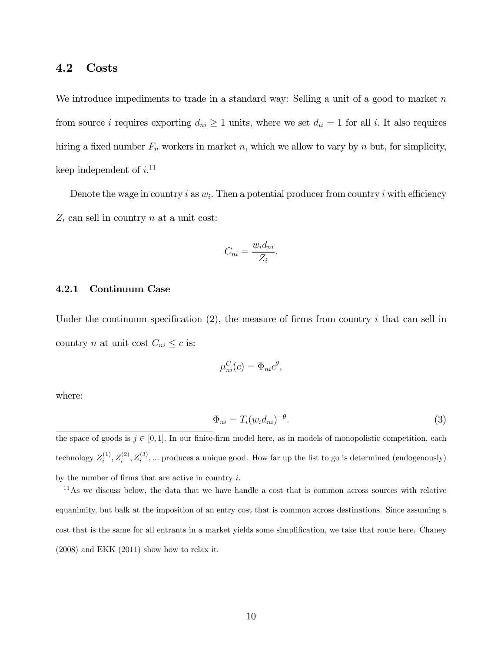## 4.2 Costs

We introduce impediments to trade in a standard way: Selling a unit of a good to market  $n$ from source *i* requires exporting  $d_{ni} \geq 1$  units, where we set  $d_{ii} = 1$  for all *i*. It also requires hiring a fixed number  $F_n$  workers in market n, which we allow to vary by n but, for simplicity, keep independent of  $i$ <sup>11</sup>

Denote the wage in country i as  $w_i$ . Then a potential producer from country i with efficiency  $Z_i$  can sell in country  $n$  at a unit cost:

$$
C_{ni} = \frac{w_i d_{ni}}{Z_i}.
$$

#### 4.2.1 Continuum Case

Under the continuum specification  $(2)$ , the measure of firms from country *i* that can sell in country *n* at unit cost  $C_{ni} \leq c$  is:

$$
\mu_{ni}^C(c) = \Phi_{ni}c^{\theta},
$$

where:

$$
\Phi_{ni} = T_i (w_i d_{ni})^{-\theta}.
$$
\n(3)

the space of goods is  $j \in [0, 1]$ . In our finite-firm model here, as in models of monopolistic competition, each technology  $Z_i^{(1)}, Z_i^{(2)}, Z_i^{(3)}, \dots$  produces a unique good. How far up the list to go is determined (endogenously) by the number of firms that are active in country  $i$ .

 $11$ As we discuss below, the data that we have handle a cost that is common across sources with relative equanimity, but balk at the imposition of an entry cost that is common across destinations. Since assuming a cost that is the same for all entrants in a market yields some simplification, we take that route here. Chaney (2008) and EKK (2011) show how to relax it.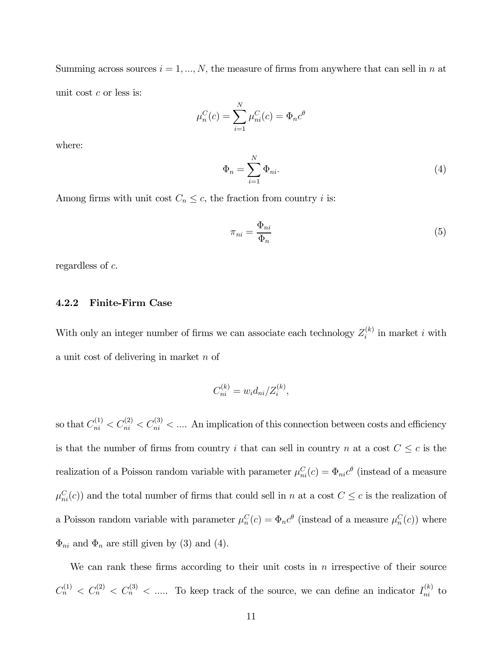Summing across sources  $i = 1, ..., N$ , the measure of firms from anywhere that can sell in *n* at unit cost  $c$  or less is:

$$
\mu_n^C(c) = \sum_{i=1}^N \mu_{ni}^C(c) = \Phi_n c^{\theta}
$$

where:

$$
\Phi_n = \sum_{i=1}^N \Phi_{ni}.\tag{4}
$$

Among firms with unit cost  $C_n \leq c$ , the fraction from country *i* is:

$$
\pi_{ni} = \frac{\Phi_{ni}}{\Phi_n} \tag{5}
$$

regardless of  $c$ .

### 4.2.2 Finite-Firm Case

With only an integer number of firms we can associate each technology  $Z_i^{(k)}$  in market *i* with a unit cost of delivering in market  $n$  of

$$
C_{ni}^{(k)} = w_i d_{ni} / Z_i^{(k)},
$$

so that  $C_{ni}^{(1)} < C_{ni}^{(2)} < C_{ni}^{(3)} < \dots$ . An implication of this connection between costs and efficiency is that the number of firms from country *i* that can sell in country *n* at a cost  $C \leq c$  is the realization of a Poisson random variable with parameter  $\mu_{ni}^C(c) = \Phi_{ni}c^{\theta}$  (instead of a measure  $\mu_{ni}^C(c)$  and the total number of firms that could sell in *n* at a cost  $C \leq c$  is the realization of a Poisson random variable with parameter  $\mu_n^C(c) = \Phi_n c^{\theta}$  (instead of a measure  $\mu_n^C(c)$ ) where  $\Phi_{ni}$  and  $\Phi_n$  are still given by (3) and (4).

We can rank these firms according to their unit costs in  $n$  irrespective of their source  $C_n^{(1)} < C_n^{(2)} < C_n^{(3)} < \dots$  To keep track of the source, we can define an indicator  $I_{ni}^{(k)}$  to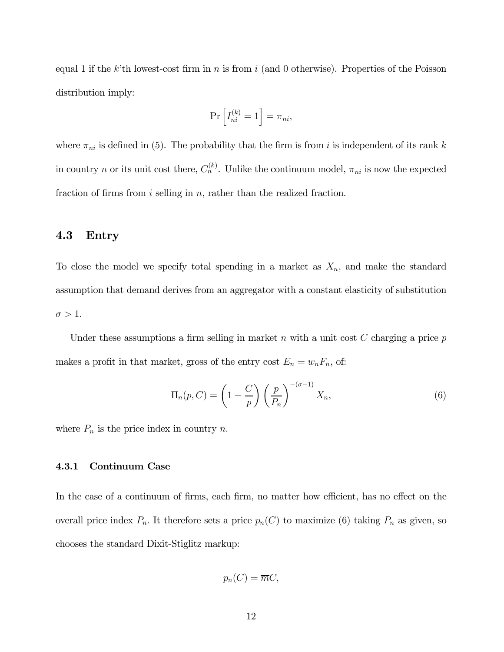equal 1 if the k'th lowest-cost firm in  $n$  is from  $i$  (and 0 otherwise). Properties of the Poisson distribution imply:

$$
\Pr\left[I_{ni}^{(k)}=1\right]=\pi_{ni},
$$

where  $\pi_{ni}$  is defined in (5). The probability that the firm is from *i* is independent of its rank k in country *n* or its unit cost there,  $C_n^{(k)}$ . Unlike the continuum model,  $\pi_{ni}$  is now the expected fraction of firms from  $i$  selling in  $n$ , rather than the realized fraction.

### 4.3 Entry

To close the model we specify total spending in a market as  $X_n$ , and make the standard assumption that demand derives from an aggregator with a constant elasticity of substitution  $\sigma > 1$ .

Under these assumptions a firm selling in market  $n$  with a unit cost  $C$  charging a price  $p$ makes a profit in that market, gross of the entry cost  $E_n = w_n F_n$ , of:

$$
\Pi_n(p, C) = \left(1 - \frac{C}{p}\right) \left(\frac{p}{P_n}\right)^{-(\sigma - 1)} X_n,
$$
\n(6)

where  $P_n$  is the price index in country n.

### 4.3.1 Continuum Case

In the case of a continuum of firms, each firm, no matter how efficient, has no effect on the overall price index  $P_n$ . It therefore sets a price  $p_n(C)$  to maximize (6) taking  $P_n$  as given, so chooses the standard Dixit-Stiglitz markup:

$$
p_n(C) = \overline{m}C,
$$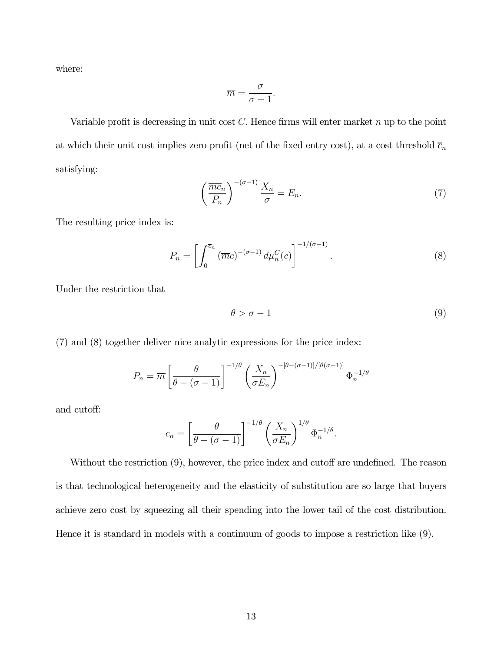where:

$$
\overline{m} = \frac{\sigma}{\sigma - 1}.
$$

Variable profit is decreasing in unit cost  $C$ . Hence firms will enter market  $n$  up to the point at which their unit cost implies zero profit (net of the fixed entry cost), at a cost threshold  $\overline{c}_n$ satisfying:

$$
\left(\frac{\overline{mc}_n}{P_n}\right)^{-(\sigma-1)}\frac{X_n}{\sigma} = E_n.
$$
\n(7)

The resulting price index is:

$$
P_n = \left[ \int_0^{\overline{c}_n} (\overline{m}c)^{-(\sigma-1)} d\mu_n^C(c) \right]^{-1/(\sigma-1)}.
$$
 (8)

Under the restriction that

$$
\theta > \sigma - 1 \tag{9}
$$

(7) and (8) together deliver nice analytic expressions for the price index:

$$
P_n = \overline{m} \left[ \frac{\theta}{\theta - (\sigma - 1)} \right]^{-1/\theta} \left( \frac{X_n}{\sigma E_n} \right)^{-[\theta - (\sigma - 1)]/[\theta(\sigma - 1)]} \Phi_n^{-1/\theta}
$$

and cutoff:

$$
\overline{c}_n = \left[\frac{\theta}{\theta - (\sigma - 1)}\right]^{-1/\theta} \left(\frac{X_n}{\sigma E_n}\right)^{1/\theta} \Phi_n^{-1/\theta}.
$$

Without the restriction (9), however, the price index and cutoff are undefined. The reason is that technological heterogeneity and the elasticity of substitution are so large that buyers achieve zero cost by squeezing all their spending into the lower tail of the cost distribution. Hence it is standard in models with a continuum of goods to impose a restriction like (9).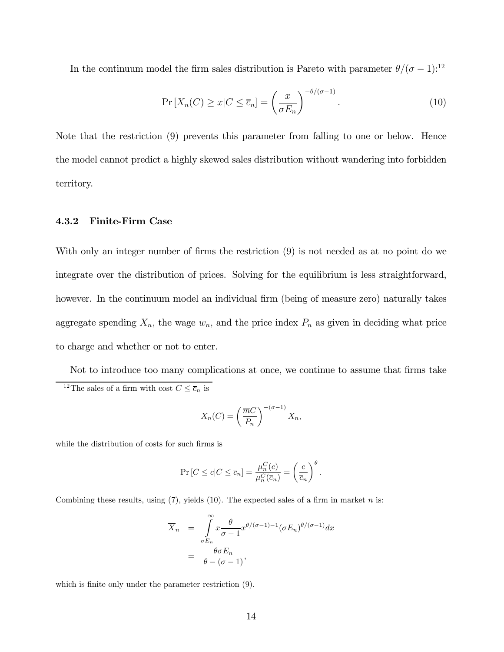In the continuum model the firm sales distribution is Pareto with parameter  $\theta/(\sigma-1)$ :<sup>12</sup>

$$
\Pr\left[X_n(C) \ge x \middle| C \le \overline{c}_n\right] = \left(\frac{x}{\sigma E_n}\right)^{-\theta/(\sigma-1)}.\tag{10}
$$

Note that the restriction (9) prevents this parameter from falling to one or below. Hence the model cannot predict a highly skewed sales distribution without wandering into forbidden territory.

#### 4.3.2 Finite-Firm Case

With only an integer number of firms the restriction (9) is not needed as at no point do we integrate over the distribution of prices. Solving for the equilibrium is less straightforward, however. In the continuum model an individual firm (being of measure zero) naturally takes aggregate spending  $X_n$ , the wage  $w_n$ , and the price index  $P_n$  as given in deciding what price to charge and whether or not to enter.

Not to introduce too many complications at once, we continue to assume that firms take <sup>12</sup>The sales of a firm with cost  $C \leq \overline{c}_n$  is

$$
X_n(C) = \left(\frac{\overline{m}C}{P_n}\right)^{-(\sigma-1)} X_n,
$$

while the distribution of costs for such firms is

$$
\Pr\left[C \le c | C \le \overline{c}_n\right] = \frac{\mu_n^C(c)}{\mu_n^C(\overline{c}_n)} = \left(\frac{c}{\overline{c}_n}\right)^{\theta}.
$$

Combining these results, using  $(7)$ , yields  $(10)$ . The expected sales of a firm in market *n* is:

$$
\overline{X}_n = \int_{\sigma E_n}^{\infty} x \frac{\theta}{\sigma - 1} x^{\theta/(\sigma - 1) - 1} (\sigma E_n)^{\theta/(\sigma - 1)} dx
$$

$$
= \frac{\theta \sigma E_n}{\theta - (\sigma - 1)},
$$

which is finite only under the parameter restriction (9).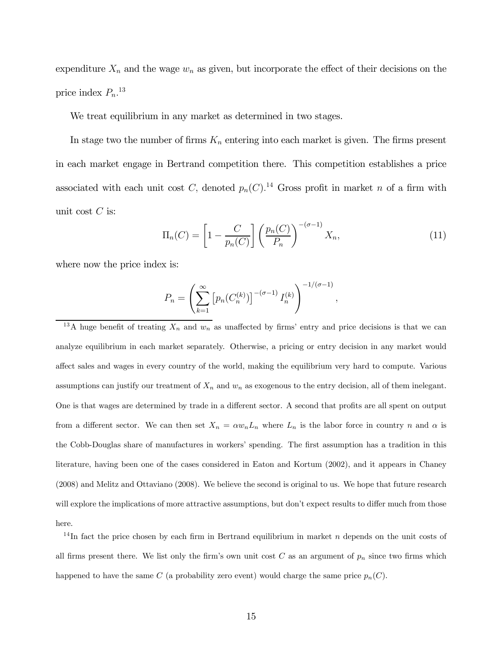expenditure  $X_n$  and the wage  $w_n$  as given, but incorporate the effect of their decisions on the price index  $P_n$ <sup>13</sup>

We treat equilibrium in any market as determined in two stages.

In stage two the number of firms  $K_n$  entering into each market is given. The firms present in each market engage in Bertrand competition there. This competition establishes a price associated with each unit cost C, denoted  $p_n(C)$ .<sup>14</sup> Gross profit in market n of a firm with unit cost  $C$  is:

$$
\Pi_n(C) = \left[1 - \frac{C}{p_n(C)}\right] \left(\frac{p_n(C)}{P_n}\right)^{-(\sigma-1)} X_n,\tag{11}
$$

where now the price index is:

$$
P_n = \left(\sum_{k=1}^{\infty} \left[p_n(C_n^{(k)})\right]^{-(\sigma-1)} I_n^{(k)}\right)^{-1/(\sigma-1)},
$$

<sup>13</sup>A huge benefit of treating  $X_n$  and  $w_n$  as unaffected by firms' entry and price decisions is that we can analyze equilibrium in each market separately. Otherwise, a pricing or entry decision in any market would affect sales and wages in every country of the world, making the equilibrium very hard to compute. Various assumptions can justify our treatment of  $X_n$  and  $w_n$  as exogenous to the entry decision, all of them inelegant. One is that wages are determined by trade in a different sector. A second that profits are all spent on output from a different sector. We can then set  $X_n = \alpha w_n L_n$  where  $L_n$  is the labor force in country n and  $\alpha$  is the Cobb-Douglas share of manufactures in workers' spending. The first assumption has a tradition in this literature, having been one of the cases considered in Eaton and Kortum (2002), and it appears in Chaney (2008) and Melitz and Ottaviano (2008). We believe the second is original to us. We hope that future research will explore the implications of more attractive assumptions, but don't expect results to differ much from those here.

<sup>14</sup>In fact the price chosen by each firm in Bertrand equilibrium in market  $n$  depends on the unit costs of all firms present there. We list only the firm's own unit cost  $C$  as an argument of  $p_n$  since two firms which happened to have the same C (a probability zero event) would charge the same price  $p_n(C)$ .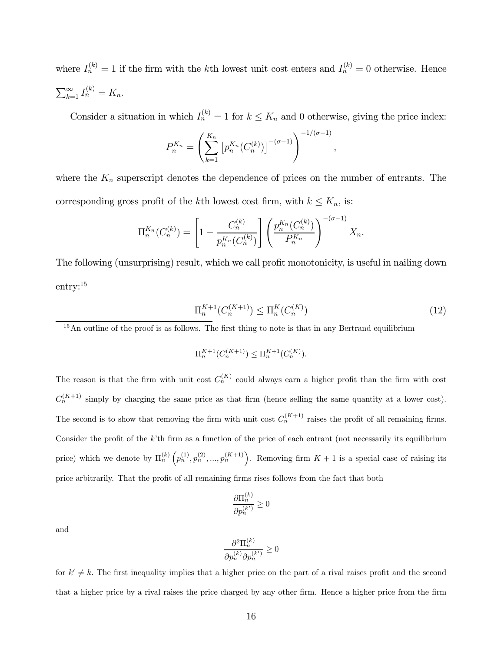where  $I_n^{(k)} = 1$  if the firm with the k<sup>th</sup> lowest unit cost enters and  $I_n^{(k)} = 0$  otherwise. Hence  $\sum_{k=1}^{\infty} I_n^{(k)} = K_n.$ 

Consider a situation in which  $I_n^{(k)} = 1$  for  $k \leq K_n$  and 0 otherwise, giving the price index:

$$
P_n^{K_n} = \left(\sum_{k=1}^{K_n} \left[ p_n^{K_n}(C_n^{(k)}) \right]^{-(\sigma-1)} \right)^{-1/(\sigma-1)}
$$

where the  $K_n$  superscript denotes the dependence of prices on the number of entrants. The corresponding gross profit of the kth lowest cost firm, with  $k \leq K_n$ , is:

$$
\Pi_n^{K_n}(C_n^{(k)}) = \left[1 - \frac{C_n^{(k)}}{p_n^{K_n}(C_n^{(k)})}\right] \left(\frac{p_n^{K_n}(C_n^{(k)})}{P_n^{K_n}}\right)^{-(\sigma-1)} X_n.
$$

The following (unsurprising) result, which we call profit monotonicity, is useful in nailing down entry:15

$$
\Pi_n^{K+1}(C_n^{(K+1)}) \le \Pi_n^K(C_n^{(K)})\tag{12}
$$

 $\overline{\phantom{a}}$ 

 $15$ An outline of the proof is as follows. The first thing to note is that in any Bertrand equilibrium

$$
\Pi_n^{K+1}(C_n^{(K+1)}) \leq \Pi_n^{K+1}(C_n^{(K)}).
$$

The reason is that the firm with unit cost  $C_n^{(K)}$  could always earn a higher profit than the firm with cost  $C_n^{(K+1)}$  simply by charging the same price as that firm (hence selling the same quantity at a lower cost). The second is to show that removing the firm with unit cost  $C_n^{(K+1)}$  raises the profit of all remaining firms. Consider the profit of the  $k$ 'th firm as a function of the price of each entrant (not necessarily its equilibrium price) which we denote by  $\Pi_n^{(k)}\left(p_n^{(1)}, p_n^{(2)}, \ldots, p_n^{(K+1)}\right)$ . Removing firm  $K+1$  is a special case of raising its price arbitrarily. That the profit of all remaining firms rises follows from the fact that both

$$
\frac{\partial \Pi^{(k)}_n}{\partial p^{(k')}_n} \geq 0
$$

and

$$
\frac{\partial^2 \Pi_n^{(k)}}{\partial p_n^{(k)} \partial p_n^{(k')}} \geq 0
$$

for  $k' \neq k$ . The first inequality implies that a higher price on the part of a rival raises profit and the second that a higher price by a rival raises the price charged by any other firm. Hence a higher price from the firm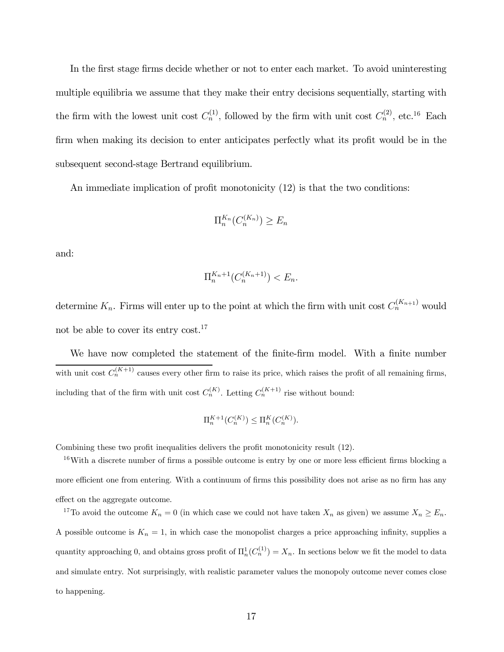In the first stage firms decide whether or not to enter each market. To avoid uninteresting multiple equilibria we assume that they make their entry decisions sequentially, starting with the firm with the lowest unit cost  $C_n^{(1)}$ , followed by the firm with unit cost  $C_n^{(2)}$ , etc.<sup>16</sup> Each firm when making its decision to enter anticipates perfectly what its profit would be in the subsequent second-stage Bertrand equilibrium.

An immediate implication of profit monotonicity (12) is that the two conditions:

$$
\Pi_n^{K_n}(C_n^{(K_n)}) \ge E_n
$$

and:

$$
\Pi_n^{K_n+1}(C_n^{(K_n+1)}) < E_n.
$$

determine  $K_n$ . Firms will enter up to the point at which the firm with unit cost  $C_n^{(K_{n+1})}$  would not be able to cover its entry cost.<sup>17</sup>

We have now completed the statement of the finite-firm model. With a finite number with unit cost  $C_n^{(K+1)}$  causes every other firm to raise its price, which raises the profit of all remaining firms, including that of the firm with unit cost  $C_n^{(K)}$ . Letting  $C_n^{(K+1)}$  rise without bound:

$$
\Pi_n^{K+1}(C_n^{(K)}) \le \Pi_n^{K}(C_n^{(K)}).
$$

Combining these two profit inequalities delivers the profit monotonicity result (12).

<sup>16</sup>With a discrete number of firms a possible outcome is entry by one or more less efficient firms blocking a more efficient one from entering. With a continuum of firms this possibility does not arise as no firm has any effect on the aggregate outcome.

<sup>17</sup>To avoid the outcome  $K_n = 0$  (in which case we could not have taken  $X_n$  as given) we assume  $X_n \ge E_n$ . A possible outcome is  $K_n = 1$ , in which case the monopolist charges a price approaching infinity, supplies a quantity approaching 0, and obtains gross profit of  $\Pi_n^1(C_n^{(1)}) = X_n$ . In sections below we fit the model to data and simulate entry. Not surprisingly, with realistic parameter values the monopoly outcome never comes close to happening.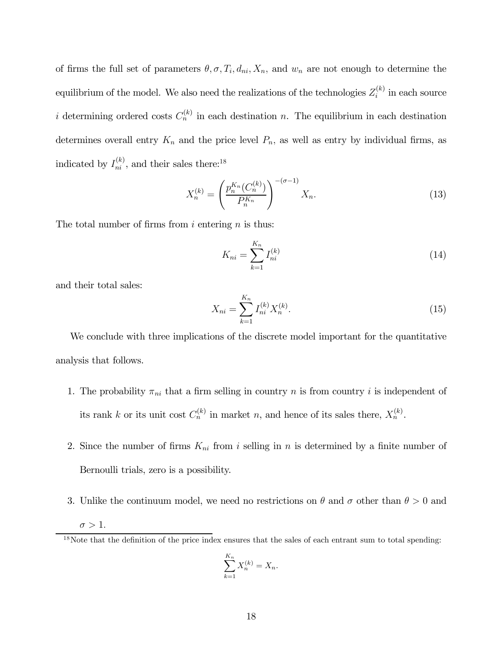of firms the full set of parameters  $\theta$ ,  $\sigma$ ,  $T_i$ ,  $d_{ni}$ ,  $X_n$ , and  $w_n$  are not enough to determine the equilibrium of the model. We also need the realizations of the technologies  $Z_i^{(k)}$  in each source i determining ordered costs  $C_n^{(k)}$  in each destination n. The equilibrium in each destination determines overall entry  $K_n$  and the price level  $P_n$ , as well as entry by individual firms, as indicated by  $I_{ni}^{(k)}$ , and their sales there:<sup>18</sup>

$$
X_n^{(k)} = \left(\frac{p_n^{K_n}(C_n^{(k)})}{P_n^{K_n}}\right)^{-(\sigma-1)} X_n.
$$
\n(13)

The total number of firms from  $i$  entering  $n$  is thus:

$$
K_{ni} = \sum_{k=1}^{K_n} I_{ni}^{(k)}
$$
\n(14)

and their total sales:

$$
X_{ni} = \sum_{k=1}^{K_n} I_{ni}^{(k)} X_n^{(k)}.
$$
\n(15)

We conclude with three implications of the discrete model important for the quantitative analysis that follows.

- 1. The probability  $\pi_{ni}$  that a firm selling in country *n* is from country *i* is independent of its rank k or its unit cost  $C_n^{(k)}$  in market n, and hence of its sales there,  $X_n^{(k)}$ .
- 2. Since the number of firms  $K_{ni}$  from i selling in n is determined by a finite number of Bernoulli trials, zero is a possibility.
- 3. Unlike the continuum model, we need no restrictions on  $\theta$  and  $\sigma$  other than  $\theta > 0$  and  $\sigma > 1$ .

$$
\sum_{k=1}^{K_n} X_n^{(k)} = X_n.
$$

<sup>&</sup>lt;sup>18</sup>Note that the definition of the price index ensures that the sales of each entrant sum to total spending: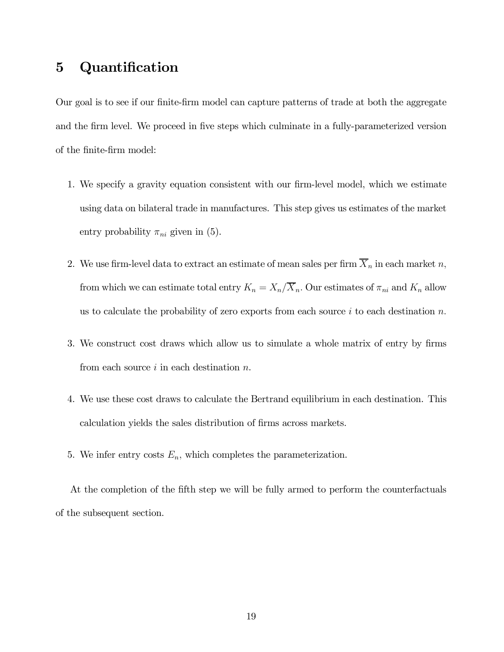# 5 Quantification

Our goal is to see if our finite-firm model can capture patterns of trade at both the aggregate and the firm level. We proceed in five steps which culminate in a fully-parameterized version of the finite-firm model:

- 1. We specify a gravity equation consistent with our firm-level model, which we estimate using data on bilateral trade in manufactures. This step gives us estimates of the market entry probability  $\pi_{ni}$  given in (5).
- 2. We use firm-level data to extract an estimate of mean sales per firm  $\overline{X}_n$  in each market n, from which we can estimate total entry  $K_n = X_n / \overline{X}_n$ . Our estimates of  $\pi_{ni}$  and  $K_n$  allow us to calculate the probability of zero exports from each source  $i$  to each destination  $n$ .
- 3. We construct cost draws which allow us to simulate a whole matrix of entry by firms from each source  $i$  in each destination  $n$ .
- 4. We use these cost draws to calculate the Bertrand equilibrium in each destination. This calculation yields the sales distribution of firms across markets.
- 5. We infer entry costs  $E_n$ , which completes the parameterization.

At the completion of the fifth step we will be fully armed to perform the counterfactuals of the subsequent section.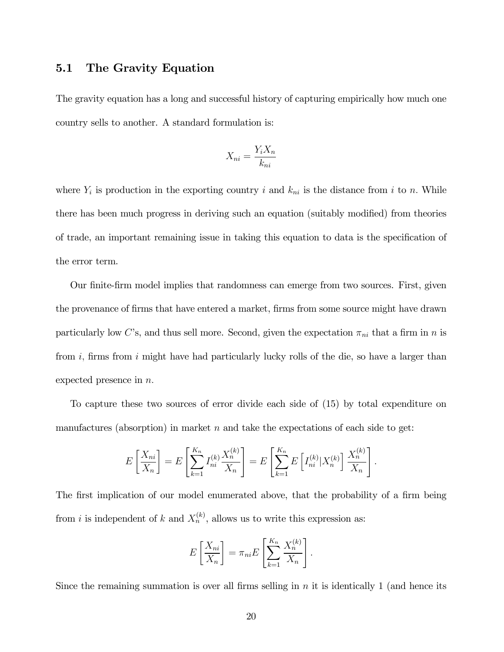## 5.1 The Gravity Equation

The gravity equation has a long and successful history of capturing empirically how much one country sells to another. A standard formulation is:

$$
X_{ni} = \frac{Y_i X_n}{k_{ni}}
$$

where  $Y_i$  is production in the exporting country i and  $k_{ni}$  is the distance from i to n. While there has been much progress in deriving such an equation (suitably modified) from theories of trade, an important remaining issue in taking this equation to data is the specification of the error term.

Our finite-firm model implies that randomness can emerge from two sources. First, given the provenance of firms that have entered a market, firms from some source might have drawn particularly low C's, and thus sell more. Second, given the expectation  $\pi_{ni}$  that a firm in n is from  $i$ , firms from  $i$  might have had particularly lucky rolls of the die, so have a larger than expected presence in  $n$ .

To capture these two sources of error divide each side of (15) by total expenditure on manufactures (absorption) in market  $n$  and take the expectations of each side to get:

$$
E\left[\frac{X_{ni}}{X_n}\right] = E\left[\sum_{k=1}^{K_n} I_{ni}^{(k)} \frac{X_n^{(k)}}{X_n}\right] = E\left[\sum_{k=1}^{K_n} E\left[I_{ni}^{(k)} | X_n^{(k)}\right] \frac{X_n^{(k)}}{X_n}\right].
$$

The first implication of our model enumerated above, that the probability of a firm being from *i* is independent of *k* and  $X_n^{(k)}$ , allows us to write this expression as:

$$
E\left[\frac{X_{ni}}{X_n}\right] = \pi_{ni} E\left[\sum_{k=1}^{K_n} \frac{X_n^{(k)}}{X_n}\right].
$$

Since the remaining summation is over all firms selling in  $n$  it is identically 1 (and hence its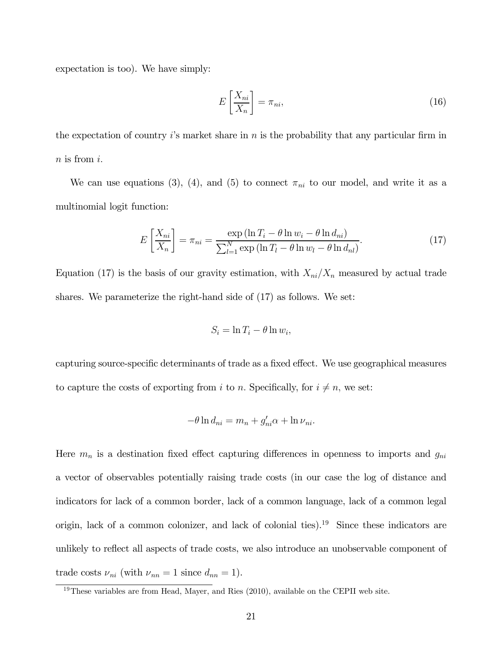expectation is too). We have simply:

$$
E\left[\frac{X_{ni}}{X_n}\right] = \pi_{ni},\tag{16}
$$

the expectation of country  $i$ 's market share in  $n$  is the probability that any particular firm in  $n$  is from  $i$ .

We can use equations (3), (4), and (5) to connect  $\pi_{ni}$  to our model, and write it as a multinomial logit function:

$$
E\left[\frac{X_{ni}}{X_n}\right] = \pi_{ni} = \frac{\exp\left(\ln T_i - \theta \ln w_i - \theta \ln d_{ni}\right)}{\sum_{l=1}^{N} \exp\left(\ln T_l - \theta \ln w_l - \theta \ln d_{nl}\right)}.
$$
\n(17)

Equation (17) is the basis of our gravity estimation, with  $X_{ni}/X_n$  measured by actual trade shares. We parameterize the right-hand side of (17) as follows. We set:

$$
S_i = \ln T_i - \theta \ln w_i,
$$

capturing source-specific determinants of trade as a fixed effect. We use geographical measures to capture the costs of exporting from  $i$  to  $n$ . Specifically, for  $i \neq n$ , we set:

$$
-\theta \ln d_{ni} = m_n + g'_{ni}\alpha + \ln \nu_{ni}.
$$

Here  $m_n$  is a destination fixed effect capturing differences in openness to imports and  $g_{ni}$ a vector of observables potentially raising trade costs (in our case the log of distance and indicators for lack of a common border, lack of a common language, lack of a common legal origin, lack of a common colonizer, and lack of colonial ties).19 Since these indicators are unlikely to reflect all aspects of trade costs, we also introduce an unobservable component of trade costs  $\nu_{ni}$  (with  $\nu_{nn} = 1$  since  $d_{nn} = 1$ ).

 $19$ These variables are from Head, Mayer, and Ries (2010), available on the CEPII web site.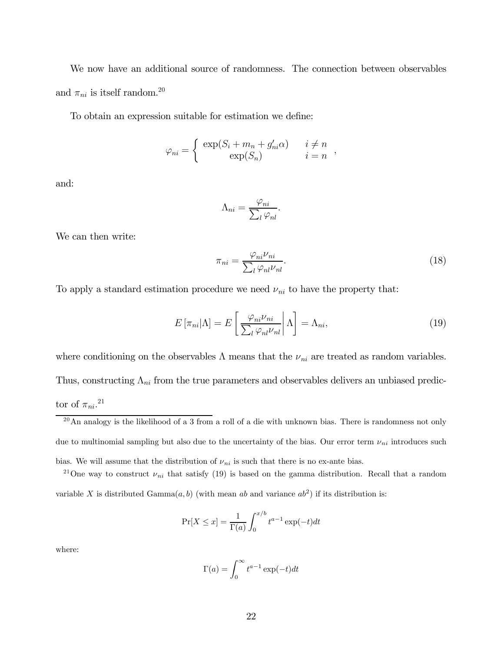We now have an additional source of randomness. The connection between observables and  $\pi_{ni}$  is itself random.<sup>20</sup>

To obtain an expression suitable for estimation we define:

$$
\varphi_{ni} = \begin{cases} \exp(S_i + m_n + g'_{ni}\alpha) & i \neq n \\ \exp(S_n) & i = n \end{cases},
$$

and:

$$
\Lambda_{ni} = \frac{\varphi_{ni}}{\sum_{l} \varphi_{nl}}.
$$

We can then write:

$$
\pi_{ni} = \frac{\varphi_{ni}\nu_{ni}}{\sum_{l} \varphi_{nl}\nu_{nl}}.\tag{18}
$$

To apply a standard estimation procedure we need  $\nu_{ni}$  to have the property that:

$$
E\left[\pi_{ni}|\Lambda\right] = E\left[\frac{\varphi_{ni}\nu_{ni}}{\sum_{l}\varphi_{nl}\nu_{nl}}\middle|\Lambda\right] = \Lambda_{ni},\tag{19}
$$

where conditioning on the observables  $\Lambda$  means that the  $\nu_{ni}$  are treated as random variables. Thus, constructing  $\Lambda_{ni}$  from the true parameters and observables delivers an unbiased predictor of  $\pi_{ni}.^{21}$ 

$$
\Pr[X \le x] = \frac{1}{\Gamma(a)} \int_0^{x/b} t^{a-1} \exp(-t) dt
$$

where:

$$
\Gamma(a) = \int_0^\infty t^{a-1} \exp(-t) dt
$$

 $20$ An analogy is the likelihood of a 3 from a roll of a die with unknown bias. There is randomness not only due to multinomial sampling but also due to the uncertainty of the bias. Our error term  $\nu_{ni}$  introduces such bias. We will assume that the distribution of  $\nu_{ni}$  is such that there is no ex-ante bias.

<sup>&</sup>lt;sup>21</sup>One way to construct  $\nu_{ni}$  that satisfy (19) is based on the gamma distribution. Recall that a random variable X is distributed Gamma $(a, b)$  (with mean ab and variance  $ab^2$ ) if its distribution is: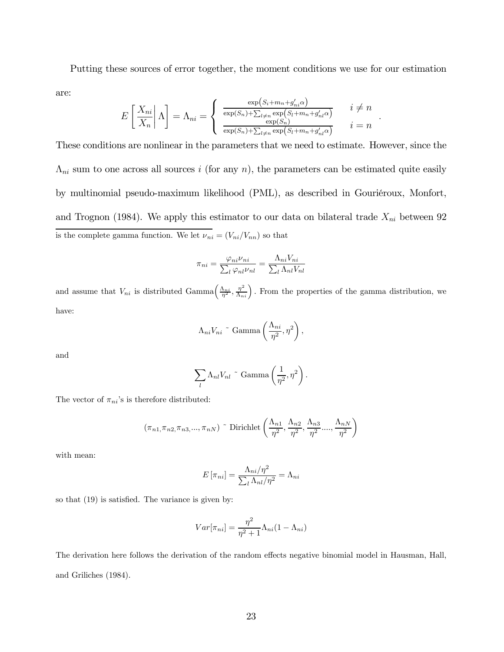Putting these sources of error together, the moment conditions we use for our estimation are:

$$
E\left[\frac{X_{ni}}{X_n}\middle|\Lambda\right] = \Lambda_{ni} = \begin{cases} \frac{\exp\left(S_i + m_n + g'_{ni}\alpha\right)}{\exp\left(S_n\right) + \sum_{l \neq n} \exp\left(S_l + m_n + g'_{nl}\alpha\right)} & i \neq n \\ \frac{\exp\left(S_n\right)}{\exp\left(S_n\right) + \sum_{l \neq n} \exp\left(S_l + m_n + g'_{nl}\alpha\right)} & i = n \end{cases}.
$$

These conditions are nonlinear in the parameters that we need to estimate. However, since the  $\Lambda_{ni}$  sum to one across all sources *i* (for any *n*), the parameters can be estimated quite easily by multinomial pseudo-maximum likelihood (PML), as described in Gouriéroux, Monfort, and Trognon (1984). We apply this estimator to our data on bilateral trade  $X_{ni}$  between 92 is the complete gamma function. We let  $\nu_{ni} = (V_{ni}/V_{nn})$  so that

$$
\pi_{ni} = \frac{\varphi_{ni}\nu_{ni}}{\sum_{l} \varphi_{nl}\nu_{nl}} = \frac{\Lambda_{ni}V_{ni}}{\sum_{l} \Lambda_{nl}V_{nl}}
$$

and assume that  $V_{ni}$  is distributed Gamma $\left(\frac{\Lambda_{ni}}{\eta^2}, \frac{\eta^2}{\Lambda_{ni}}\right)$ . From the properties of the gamma distribution, we have:

$$
\Lambda_{ni}V_{ni} \text{~}^{\sim} \text{Gamma}\left(\frac{\Lambda_{ni}}{\eta^2}, \eta^2\right),\,
$$

and

$$
\sum_{l} \Lambda_{nl} V_{nl} \circ \text{Gamma}\left(\frac{1}{\eta^2}, \eta^2\right).
$$

The vector of  $\pi_{ni}$ 's is therefore distributed:

$$
(\pi_{n1}, \pi_{n2}, \pi_{n3}, \dots, \pi_{nN})
$$
 "Dirichlet  $\left(\frac{\Lambda_{n1}}{\eta^2}, \frac{\Lambda_{n2}}{\eta^2}, \frac{\Lambda_{n3}}{\eta^2}, \dots, \frac{\Lambda_{nN}}{\eta^2}\right)$ 

with mean:

$$
E\left[\pi_{ni}\right] = \frac{\Lambda_{ni}/\eta^2}{\sum_l \Lambda_{nl}/\eta^2} = \Lambda_{ni}
$$

so that (19) is satisfied. The variance is given by:

$$
Var[\pi_{ni}] = \frac{\eta^2}{\eta^2 + 1} \Lambda_{ni} (1 - \Lambda_{ni})
$$

The derivation here follows the derivation of the random effects negative binomial model in Hausman, Hall, and Griliches (1984).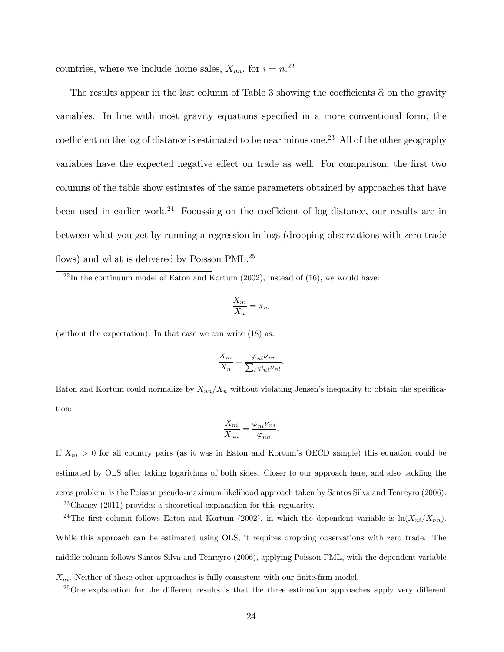countries, where we include home sales,  $X_{nn}$ , for  $i = n^{22}$ 

The results appear in the last column of Table 3 showing the coefficients  $\hat{\alpha}$  on the gravity variables. In line with most gravity equations specified in a more conventional form, the coefficient on the log of distance is estimated to be near minus one.<sup>23</sup> All of the other geography variables have the expected negative effect on trade as well. For comparison, the first two columns of the table show estimates of the same parameters obtained by approaches that have been used in earlier work.<sup>24</sup> Focussing on the coefficient of log distance, our results are in between what you get by running a regression in logs (dropping observations with zero trade flows) and what is delivered by Poisson PML.<sup>25</sup>

$$
\frac{X_{ni}}{X_n} = \pi_{ni}
$$

(without the expectation). In that case we can write (18) as:

$$
\frac{X_{ni}}{X_n} = \frac{\varphi_{ni}\nu_{ni}}{\sum_l \varphi_{nl}\nu_{nl}}.
$$

Eaton and Kortum could normalize by  $X_{nn}/X_n$  without violating Jensen's inequality to obtain the specification:

$$
\frac{X_{ni}}{X_{nn}} = \frac{\varphi_{ni}\nu_{ni}}{\varphi_{nn}}.
$$

If  $X_{ni} > 0$  for all country pairs (as it was in Eaton and Kortum's OECD sample) this equation could be estimated by OLS after taking logarithms of both sides. Closer to our approach here, and also tackling the zeros problem, is the Poisson pseudo-maximum likelihood approach taken by Santos Silva and Tenreyro (2006). 23Chaney (2011) provides a theoretical explanation for this regularity.

<sup>24</sup>The first column follows Eaton and Kortum (2002), in which the dependent variable is  $\ln(X_{ni}/X_{nn})$ . While this approach can be estimated using OLS, it requires dropping observations with zero trade. The middle column follows Santos Silva and Tenreyro (2006), applying Poisson PML, with the dependent variable  $X_{ni}$ . Neither of these other approaches is fully consistent with our finite-firm model.

<sup>25</sup>One explanation for the different results is that the three estimation approaches apply very different

 $^{22}$ In the continuum model of Eaton and Kortum (2002), instead of (16), we would have: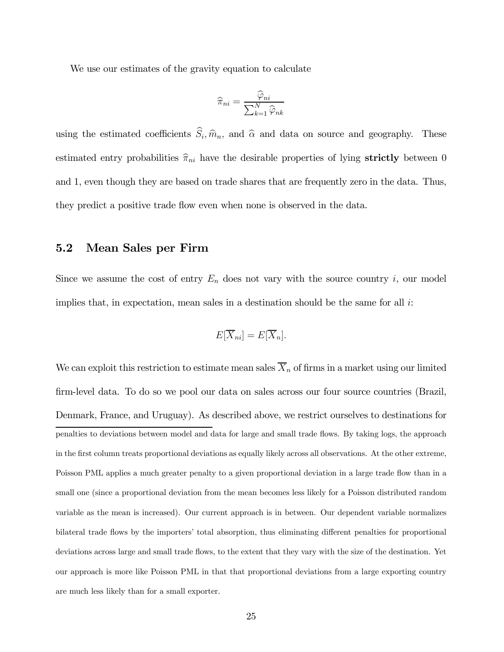We use our estimates of the gravity equation to calculate

$$
\widehat{\pi}_{ni} = \frac{\widehat{\varphi}_{ni}}{\sum_{k=1}^{N} \widehat{\varphi}_{nk}}
$$

using the estimated coefficients  $\hat{S}_i$ ,  $\hat{m}_n$ , and  $\hat{\alpha}$  and data on source and geography. These estimated entry probabilities  $\hat{\pi}_{ni}$  have the desirable properties of lying strictly between 0 and 1, even though they are based on trade shares that are frequently zero in the data. Thus, they predict a positive trade flow even when none is observed in the data.

## 5.2 Mean Sales per Firm

Since we assume the cost of entry  $E_n$  does not vary with the source country i, our model implies that, in expectation, mean sales in a destination should be the same for all  $i$ :

$$
E[\overline{X}_{ni}] = E[\overline{X}_n].
$$

We can exploit this restriction to estimate mean sales  $\overline{X}_n$  of firms in a market using our limited firm-level data. To do so we pool our data on sales across our four source countries (Brazil, Denmark, France, and Uruguay). As described above, we restrict ourselves to destinations for penalties to deviations between model and data for large and small trade flows. By taking logs, the approach in the first column treats proportional deviations as equally likely across all observations. At the other extreme, Poisson PML applies a much greater penalty to a given proportional deviation in a large trade flow than in a small one (since a proportional deviation from the mean becomes less likely for a Poisson distributed random variable as the mean is increased). Our current approach is in between. Our dependent variable normalizes bilateral trade flows by the importers' total absorption, thus eliminating different penalties for proportional deviations across large and small trade flows, to the extent that they vary with the size of the destination. Yet our approach is more like Poisson PML in that that proportional deviations from a large exporting country are much less likely than for a small exporter.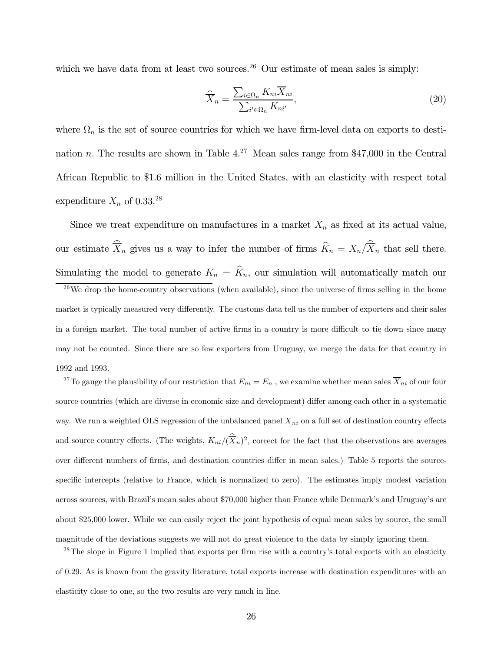which we have data from at least two sources.<sup>26</sup> Our estimate of mean sales is simply:

$$
\widehat{\overline{X}}_n = \frac{\sum_{i \in \Omega_n} K_{ni} \overline{X}_{ni}}{\sum_{i' \in \Omega_n} K_{ni'}},\tag{20}
$$

where  $\Omega_n$  is the set of source countries for which we have firm-level data on exports to destination *n*. The results are shown in Table  $4.^{27}$  Mean sales range from \$47,000 in the Central African Republic to \$1.6 million in the United States, with an elasticity with respect total expenditure  $X_n$  of 0.33.<sup>28</sup>

Since we treat expenditure on manufactures in a market  $X_n$  as fixed at its actual value, our estimate  $X_n$  gives us a way to infer the number of firms  $K_n = X_n/X_n$  that sell there. Simulating the model to generate  $K_n = \hat{K}_n$ , our simulation will automatically match our

 $26$ We drop the home-country observations (when available), since the universe of firms selling in the home market is typically measured very differently. The customs data tell us the number of exporters and their sales in a foreign market. The total number of active firms in a country is more difficult to tie down since many may not be counted. Since there are so few exporters from Uruguay, we merge the data for that country in 1992 and 1993.

<sup>27</sup>To gauge the plausibility of our restriction that  $E_{ni} = E_n$ , we examine whether mean sales  $\overline{X}_{ni}$  of our four source countries (which are diverse in economic size and development) differ among each other in a systematic way. We run a weighted OLS regression of the unbalanced panel  $\overline{X}_{ni}$  on a full set of destination country effects and source country effects. (The weights,  $K_{ni}/(\overline{X}_n)^2$ , correct for the fact that the observations are averages over different numbers of firms, and destination countries differ in mean sales.) Table 5 reports the sourcespecific intercepts (relative to France, which is normalized to zero). The estimates imply modest variation across sources, with Brazil's mean sales about \$70,000 higher than France while Denmark's and Uruguay's are about \$25,000 lower. While we can easily reject the joint hypothesis of equal mean sales by source, the small magnitude of the deviations suggests we will not do great violence to the data by simply ignoring them.

<sup>28</sup>The slope in Figure 1 implied that exports per firm rise with a country's total exports with an elasticity of 029. As is known from the gravity literature, total exports increase with destination expenditures with an elasticity close to one, so the two results are very much in line.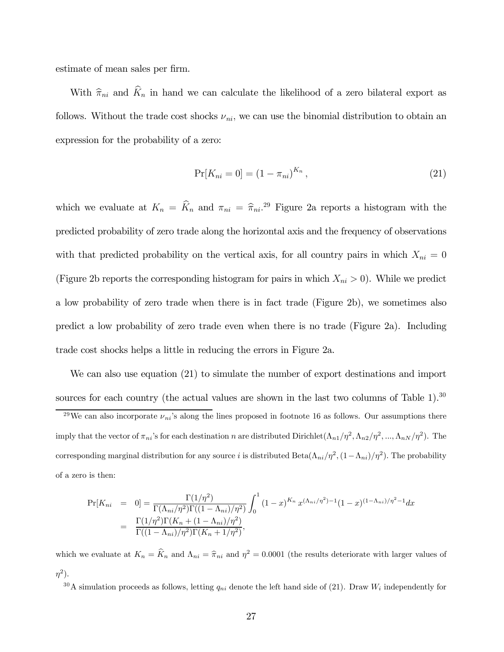estimate of mean sales per firm.

With  $\hat{\pi}_{ni}$  and  $\hat{K}_n$  in hand we can calculate the likelihood of a zero bilateral export as follows. Without the trade cost shocks  $\nu_{ni}$ , we can use the binomial distribution to obtain an expression for the probability of a zero:

$$
Pr[K_{ni} = 0] = (1 - \pi_{ni})^{K_n},
$$
\n(21)

which we evaluate at  $K_n = \hat{K}_n$  and  $\pi_{ni} = \hat{\pi}_{ni}^{29}$ . Figure 2a reports a histogram with the predicted probability of zero trade along the horizontal axis and the frequency of observations with that predicted probability on the vertical axis, for all country pairs in which  $X_{ni} = 0$ (Figure 2b reports the corresponding histogram for pairs in which  $X_{ni} > 0$ ). While we predict a low probability of zero trade when there is in fact trade (Figure 2b), we sometimes also predict a low probability of zero trade even when there is no trade (Figure 2a). Including trade cost shocks helps a little in reducing the errors in Figure 2a.

We can also use equation (21) to simulate the number of export destinations and import sources for each country (the actual values are shown in the last two columns of Table 1).<sup>30</sup>

<sup>29</sup>We can also incorporate  $\nu_{ni}$ 's along the lines proposed in footnote 16 as follows. Our assumptions there imply that the vector of  $\pi_{ni}$ 's for each destination *n* are distributed Dirichlet $(\Lambda_{n1}/\eta^2, \Lambda_{n2}/\eta^2, ..., \Lambda_{nN}/\eta^2)$ . The corresponding marginal distribution for any source *i* is distributed Beta $(\Lambda_{ni}/\eta^2, (1-\Lambda_{ni})/\eta^2)$ . The probability of a zero is then:

$$
\Pr[K_{ni} = 0] = \frac{\Gamma(1/\eta^2)}{\Gamma(\Lambda_{ni}/\eta^2)\Gamma((1-\Lambda_{ni})/\eta^2)} \int_0^1 (1-x)^{K_n} x^{(\Lambda_{ni}/\eta^2)-1} (1-x)^{(1-\Lambda_{ni})/\eta^2-1} dx
$$
  
= 
$$
\frac{\Gamma(1/\eta^2)\Gamma(K_n + (1-\Lambda_{ni})/\eta^2)}{\Gamma((1-\Lambda_{ni})/\eta^2)\Gamma(K_n + 1/\eta^2)},
$$

which we evaluate at  $K_n = \hat{K}_n$  and  $\Lambda_{ni} = \hat{\pi}_{ni}$  and  $\eta^2 = 0.0001$  (the results deteriorate with larger values of  $\eta^2$ ).

<sup>30</sup>A simulation proceeds as follows, letting  $q_{ni}$  denote the left hand side of (21). Draw  $W_i$  independently for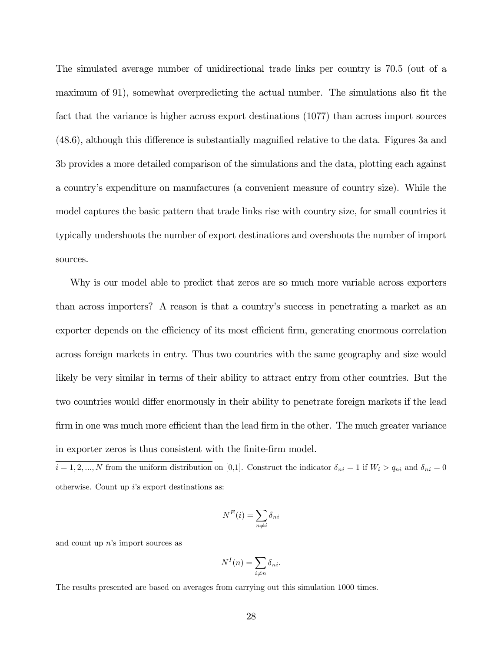The simulated average number of unidirectional trade links per country is 70.5 (out of a maximum of 91), somewhat overpredicting the actual number. The simulations also fit the fact that the variance is higher across export destinations (1077) than across import sources (48.6), although this difference is substantially magnified relative to the data. Figures 3a and 3b provides a more detailed comparison of the simulations and the data, plotting each against a country's expenditure on manufactures (a convenient measure of country size). While the model captures the basic pattern that trade links rise with country size, for small countries it typically undershoots the number of export destinations and overshoots the number of import sources.

Why is our model able to predict that zeros are so much more variable across exporters than across importers? A reason is that a country's success in penetrating a market as an exporter depends on the efficiency of its most efficient firm, generating enormous correlation across foreign markets in entry. Thus two countries with the same geography and size would likely be very similar in terms of their ability to attract entry from other countries. But the two countries would differ enormously in their ability to penetrate foreign markets if the lead firm in one was much more efficient than the lead firm in the other. The much greater variance in exporter zeros is thus consistent with the finite-firm model.

 $i = 1, 2, ..., N$  from the uniform distribution on [0,1]. Construct the indicator  $\delta_{ni} = 1$  if  $W_i > q_{ni}$  and  $\delta_{ni} = 0$ otherwise. Count up  $i$ 's export destinations as:

$$
N^{E}(i) = \sum_{n \neq i} \delta_{ni}
$$

and count up  $n$ 's import sources as

$$
N^{I}(n) = \sum_{i \neq n} \delta_{ni}.
$$

The results presented are based on averages from carrying out this simulation 1000 times.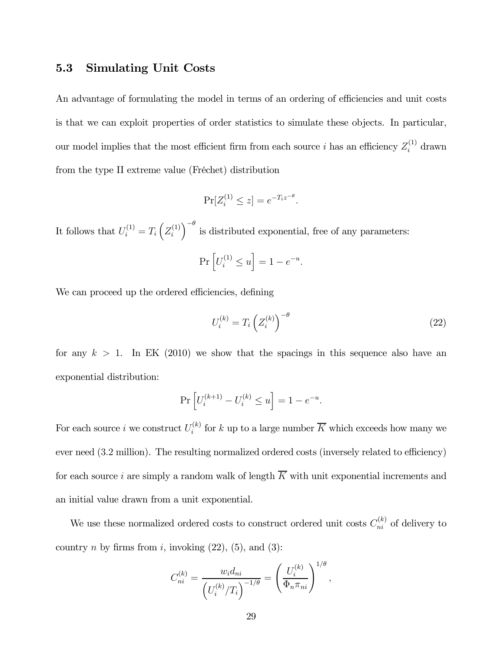## 5.3 Simulating Unit Costs

An advantage of formulating the model in terms of an ordering of efficiencies and unit costs is that we can exploit properties of order statistics to simulate these objects. In particular, our model implies that the most efficient firm from each source *i* has an efficiency  $Z_i^{(1)}$  drawn from the type II extreme value (Fréchet) distribution

$$
\Pr[Z_i^{(1)} \le z] = e^{-T_i z^{-\theta}}.
$$

It follows that  $U_i^{(1)} = T_i \left( Z_i^{(1)} \right)$  $\int$ <sup>- $\theta$ </sup> is distributed exponential, free of any parameters:  $\Pr\left[U_i^{(1)} \le u\right] = 1 - e^{-u}.$ 

We can proceed up the ordered efficiencies, defining

$$
U_i^{(k)} = T_i \left( Z_i^{(k)} \right)^{-\theta} \tag{22}
$$

for any  $k > 1$ . In EK (2010) we show that the spacings in this sequence also have an exponential distribution:

$$
\Pr \left[ U_{i}^{(k+1)} - U_{i}^{(k)} \leq u \right] = 1 - e^{-u}.
$$

For each source *i* we construct  $U_i^{(k)}$  for *k* up to a large number  $\overline{K}$  which exceeds how many we ever need (32 million). The resulting normalized ordered costs (inversely related to efficiency) for each source *i* are simply a random walk of length  $\overline{K}$  with unit exponential increments and an initial value drawn from a unit exponential.

We use these normalized ordered costs to construct ordered unit costs  $C_{ni}^{(k)}$  of delivery to country *n* by firms from *i*, invoking  $(22)$ ,  $(5)$ , and  $(3)$ :

$$
C_{ni}^{(k)} = \frac{w_i d_{ni}}{\left(U_i^{(k)}/T_i\right)^{-1/\theta}} = \left(\frac{U_i^{(k)}}{\Phi_n \pi_{ni}}\right)^{1/\theta},
$$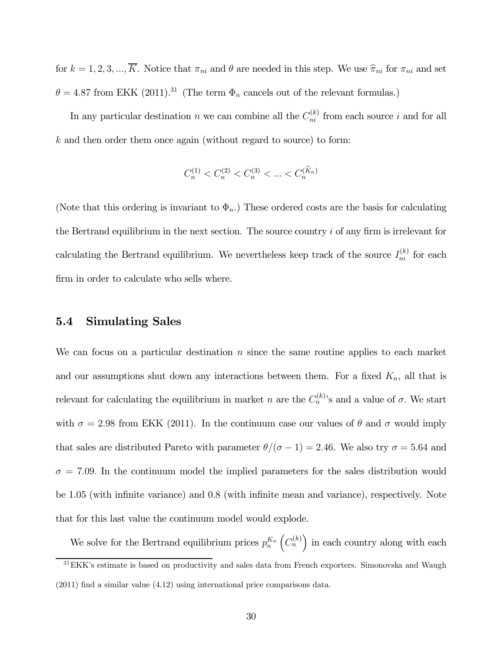for  $k = 1, 2, 3, ..., \overline{K}$ . Notice that  $\pi_{ni}$  and  $\theta$  are needed in this step. We use  $\hat{\pi}_{ni}$  for  $\pi_{ni}$  and set  $\theta = 4.87$  from EKK (2011).<sup>31</sup> (The term  $\Phi_n$  cancels out of the relevant formulas.)

In any particular destination *n* we can combine all the  $C_{ni}^{(k)}$  from each source *i* and for all  $k$  and then order them once again (without regard to source) to form:

$$
C_n^{(1)} < C_n^{(2)} < C_n^{(3)} < \ldots < C_n^{(\widehat{K}_n)}
$$

(Note that this ordering is invariant to  $\Phi_n$ .) These ordered costs are the basis for calculating the Bertrand equilibrium in the next section. The source country  $i$  of any firm is irrelevant for calculating the Bertrand equilibrium. We nevertheless keep track of the source  $I_{ni}^{(k)}$  for each firm in order to calculate who sells where.

### 5.4 Simulating Sales

We can focus on a particular destination  $n$  since the same routine applies to each market and our assumptions shut down any interactions between them. For a fixed  $K_n$ , all that is relevant for calculating the equilibrium in market *n* are the  $C_n^{(k)}$ 's and a value of  $\sigma$ . We start with  $\sigma = 2.98$  from EKK (2011). In the continuum case our values of  $\theta$  and  $\sigma$  would imply that sales are distributed Pareto with parameter  $\theta/(\sigma - 1) = 2.46$ . We also try  $\sigma = 5.64$  and  $\sigma = 7.09$ . In the continuum model the implied parameters for the sales distribution would be 1.05 (with infinite variance) and 0.8 (with infinite mean and variance), respectively. Note that for this last value the continuum model would explode.

We solve for the Bertrand equilibrium prices  $p_n^{K_n}$  $(C_n^{(k)})$  in each country along with each  $31$ EKK's estimate is based on productivity and sales data from French exporters. Simonovska and Waugh (2011) find a similar value (4.12) using international price comparisons data.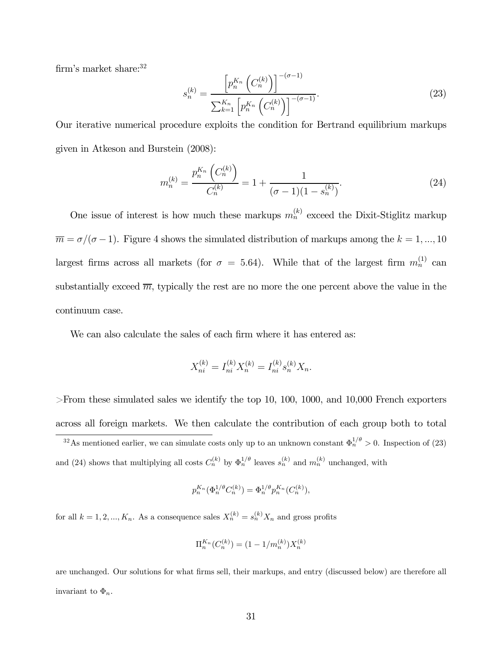firm's market share: $32$ 

$$
s_n^{(k)} = \frac{\left[p_n^{K_n} \left(C_n^{(k)}\right)\right]^{-(\sigma-1)}}{\sum_{k=1}^{K_n} \left[p_n^{K_n} \left(C_n^{(k)}\right)\right]^{-(\sigma-1)}}.
$$
\n(23)

Our iterative numerical procedure exploits the condition for Bertrand equilibrium markups given in Atkeson and Burstein (2008):

$$
m_n^{(k)} = \frac{p_n^{K_n} \left( C_n^{(k)} \right)}{C_n^{(k)}} = 1 + \frac{1}{(\sigma - 1)(1 - s_n^{(k)})}.
$$
\n(24)

One issue of interest is how much these markups  $m_n^{(k)}$  exceed the Dixit-Stiglitz markup  $\overline{m} = \sigma/(\sigma-1)$ . Figure 4 shows the simulated distribution of markups among the  $k = 1, ..., 10$ largest firms across all markets (for  $\sigma = 5.64$ ). While that of the largest firm  $m_n^{(1)}$  can substantially exceed  $\overline{m}$ , typically the rest are no more the one percent above the value in the continuum case.

We can also calculate the sales of each firm where it has entered as:

$$
X_{ni}^{(k)} = I_{ni}^{(k)} X_n^{(k)} = I_{ni}^{(k)} s_n^{(k)} X_n.
$$

 $>$ From these simulated sales we identify the top 10, 100, 1000, and 10,000 French exporters across all foreign markets. We then calculate the contribution of each group both to total

<sup>32</sup>As mentioned earlier, we can simulate costs only up to an unknown constant  $\Phi_n^{1/\theta} > 0$ . Inspection of (23) and (24) shows that multiplying all costs  $C_n^{(k)}$  by  $\Phi_n^{1/\theta}$  leaves  $s_n^{(k)}$  and  $m_n^{(k)}$  unchanged, with

$$
p^{K_n}_n\big(\Phi^{1/\theta}_n C_n^{(k)}\big) = \Phi^{1/\theta}_n p^{K_n}_n\big(C_n^{(k)}\big),
$$

for all  $k = 1, 2, ..., K_n$ . As a consequence sales  $X_n^{(k)} = s_n^{(k)} X_n$  and gross profits

$$
\Pi_n^{K_n}(C_n^{(k)}) = (1 - 1/m_n^{(k)})X_n^{(k)}
$$

are unchanged. Our solutions for what firms sell, their markups, and entry (discussed below) are therefore all invariant to  $\Phi_n$ .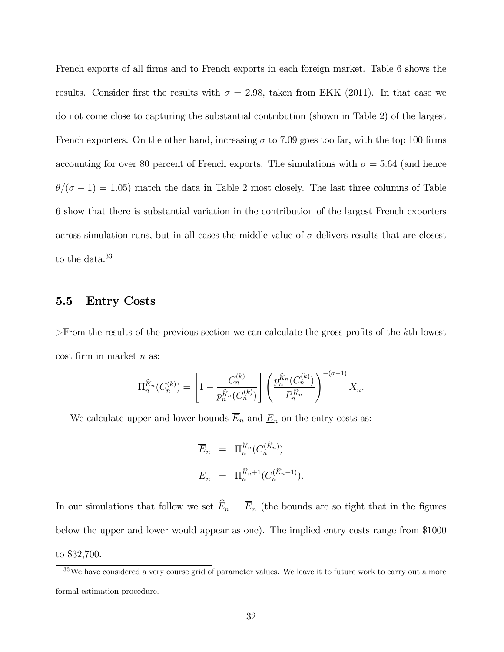French exports of all firms and to French exports in each foreign market. Table 6 shows the results. Consider first the results with  $\sigma = 2.98$ , taken from EKK (2011). In that case we do not come close to capturing the substantial contribution (shown in Table 2) of the largest French exporters. On the other hand, increasing  $\sigma$  to 7.09 goes too far, with the top 100 firms accounting for over 80 percent of French exports. The simulations with  $\sigma = 5.64$  (and hence  $\theta/(\sigma - 1) = 1.05$ ) match the data in Table 2 most closely. The last three columns of Table 6 show that there is substantial variation in the contribution of the largest French exporters across simulation runs, but in all cases the middle value of  $\sigma$  delivers results that are closest to the data.<sup>33</sup>

## 5.5 Entry Costs

>From the results of the previous section we can calculate the gross profits of the th lowest  $\cos t$  firm in market *n* as:

$$
\Pi_n^{\widehat{K}_n}(C_n^{(k)}) = \left[1 - \frac{C_n^{(k)}}{p_n^{\widehat{K}_n}(C_n^{(k)})}\right] \left(\frac{p_n^{\widehat{K}_n}(C_n^{(k)})}{P_n^{\widehat{K}_n}}\right)^{-(\sigma-1)} X_n.
$$

We calculate upper and lower bounds  $\overline{E}_n$  and  $\underline{E}_n$  on the entry costs as:

$$
\overline{E}_n = \Pi_n^{\widehat{K}_n} (C_n^{(\widehat{K}_n)})
$$
  

$$
\underline{E}_n = \Pi_n^{\widehat{K}_n+1} (C_n^{(\widehat{K}_n+1)}).
$$

In our simulations that follow we set  $\widehat{E}_n = \overline{E}_n$  (the bounds are so tight that in the figures below the upper and lower would appear as one). The implied entry costs range from \$1000 to \$32,700.

<sup>&</sup>lt;sup>33</sup>We have considered a very course grid of parameter values. We leave it to future work to carry out a more formal estimation procedure.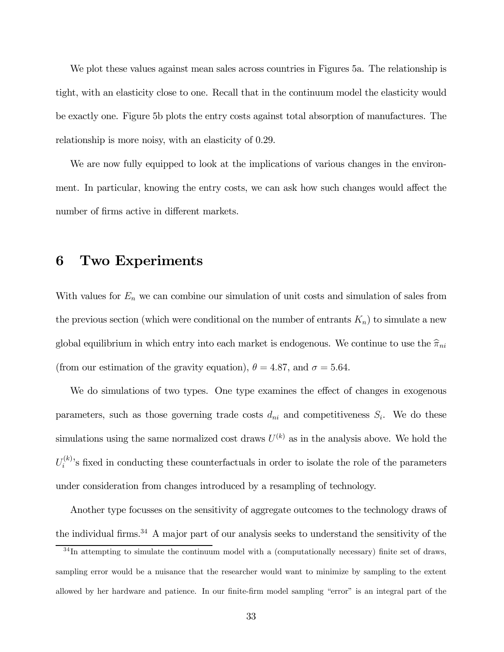We plot these values against mean sales across countries in Figures 5a. The relationship is tight, with an elasticity close to one. Recall that in the continuum model the elasticity would be exactly one. Figure 5b plots the entry costs against total absorption of manufactures. The relationship is more noisy, with an elasticity of 0.29.

We are now fully equipped to look at the implications of various changes in the environment. In particular, knowing the entry costs, we can ask how such changes would affect the number of firms active in different markets.

## 6 Two Experiments

With values for  $E_n$  we can combine our simulation of unit costs and simulation of sales from the previous section (which were conditional on the number of entrants  $K_n$ ) to simulate a new global equilibrium in which entry into each market is endogenous. We continue to use the  $\hat{\pi}_{ni}$ (from our estimation of the gravity equation),  $\theta = 4.87$ , and  $\sigma = 5.64$ .

We do simulations of two types. One type examines the effect of changes in exogenous parameters, such as those governing trade costs  $d_{ni}$  and competitiveness  $S_i$ . We do these simulations using the same normalized cost draws  $U^{(k)}$  as in the analysis above. We hold the  $U_i^{(k)}$ 's fixed in conducting these counterfactuals in order to isolate the role of the parameters under consideration from changes introduced by a resampling of technology.

Another type focusses on the sensitivity of aggregate outcomes to the technology draws of the individual firms.<sup>34</sup> A major part of our analysis seeks to understand the sensitivity of the

<sup>&</sup>lt;sup>34</sup>In attempting to simulate the continuum model with a (computationally necessary) finite set of draws, sampling error would be a nuisance that the researcher would want to minimize by sampling to the extent allowed by her hardware and patience. In our finite-firm model sampling "error" is an integral part of the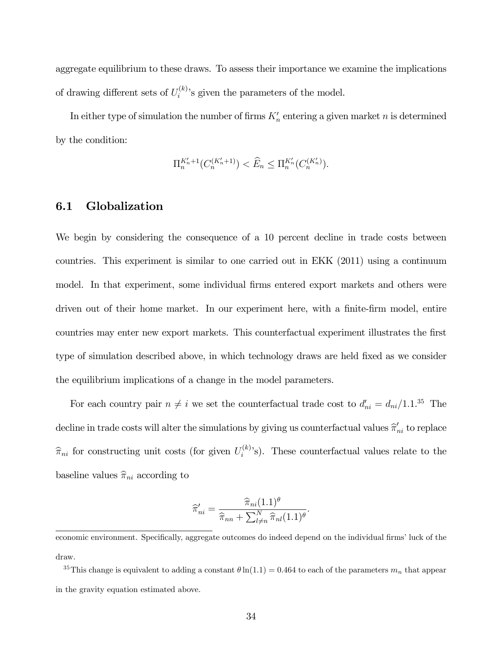aggregate equilibrium to these draws. To assess their importance we examine the implications of drawing different sets of  $U_i^{(k)}$ 's given the parameters of the model.

In either type of simulation the number of firms  $K_n'$  entering a given market n is determined by the condition:

$$
\Pi_n^{K'_n+1}(C_n^{(K'_n+1)}) < \widehat{E}_n \le \Pi_n^{K'_n}(C_n^{(K'_n)}).
$$

### 6.1 Globalization

We begin by considering the consequence of a 10 percent decline in trade costs between countries. This experiment is similar to one carried out in EKK (2011) using a continuum model. In that experiment, some individual firms entered export markets and others were driven out of their home market. In our experiment here, with a finite-firm model, entire countries may enter new export markets. This counterfactual experiment illustrates the first type of simulation described above, in which technology draws are held fixed as we consider the equilibrium implications of a change in the model parameters.

For each country pair  $n \neq i$  we set the counterfactual trade cost to  $d'_{ni} = d_{ni}/1.1$ .<sup>35</sup> The decline in trade costs will alter the simulations by giving us counterfactual values  $\widehat{\pi}'_{ni}$  to replace  $\hat{\pi}_{ni}$  for constructing unit costs (for given  $U_i^{(k)}$ s). These counterfactual values relate to the baseline values  $\hat{\pi}_{ni}$  according to

$$
\widehat{\pi}'_{ni} = \frac{\widehat{\pi}_{ni}(1.1)^{\theta}}{\widehat{\pi}_{nn} + \sum_{l \neq n}^{N} \widehat{\pi}_{nl}(1.1)^{\theta}}.
$$

economic environment. Specifically, aggregate outcomes do indeed depend on the individual firms' luck of the draw.

<sup>&</sup>lt;sup>35</sup>This change is equivalent to adding a constant  $\theta \ln(1.1) = 0.464$  to each of the parameters  $m_n$  that appear in the gravity equation estimated above.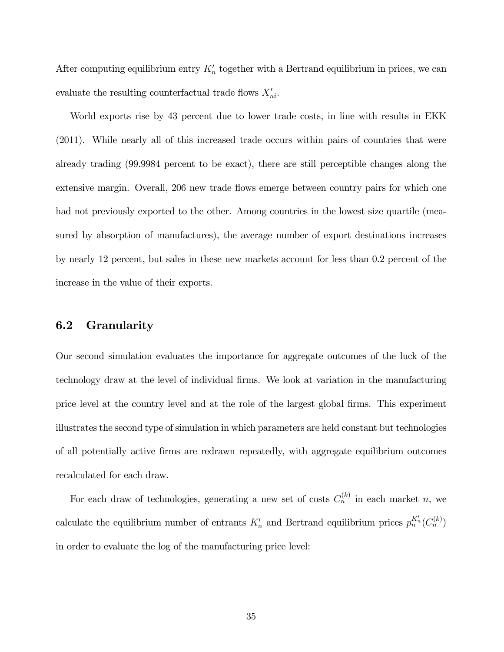After computing equilibrium entry  $K_n'$  together with a Bertrand equilibrium in prices, we can evaluate the resulting counterfactual trade flows  $X'_{ni}$ .

World exports rise by 43 percent due to lower trade costs, in line with results in EKK (2011). While nearly all of this increased trade occurs within pairs of countries that were already trading (99.9984 percent to be exact), there are still perceptible changes along the extensive margin. Overall, 206 new trade flows emerge between country pairs for which one had not previously exported to the other. Among countries in the lowest size quartile (measured by absorption of manufactures), the average number of export destinations increases by nearly 12 percent, but sales in these new markets account for less than 0.2 percent of the increase in the value of their exports.

## 6.2 Granularity

Our second simulation evaluates the importance for aggregate outcomes of the luck of the technology draw at the level of individual firms. We look at variation in the manufacturing price level at the country level and at the role of the largest global firms. This experiment illustrates the second type of simulation in which parameters are held constant but technologies of all potentially active firms are redrawn repeatedly, with aggregate equilibrium outcomes recalculated for each draw.

For each draw of technologies, generating a new set of costs  $C_n^{(k)}$  in each market n, we calculate the equilibrium number of entrants  $K'_n$  and Bertrand equilibrium prices  $p_n^{K'_n}(C_n^{(k)})$ in order to evaluate the log of the manufacturing price level: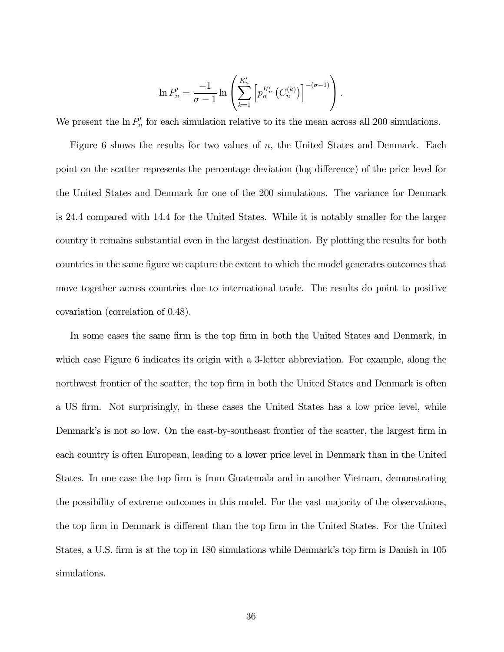$$
\ln P'_n = \frac{-1}{\sigma - 1} \ln \left( \sum_{k=1}^{K'_n} \left[ p_n^{K'_n} \left( C_n^{(k)} \right) \right]^{-(\sigma - 1)} \right).
$$

We present the  $\ln P'_n$  for each simulation relative to its the mean across all 200 simulations.

Figure 6 shows the results for two values of  $n$ , the United States and Denmark. Each point on the scatter represents the percentage deviation (log difference) of the price level for the United States and Denmark for one of the 200 simulations. The variance for Denmark is 24.4 compared with 14.4 for the United States. While it is notably smaller for the larger country it remains substantial even in the largest destination. By plotting the results for both countries in the same figure we capture the extent to which the model generates outcomes that move together across countries due to international trade. The results do point to positive covariation (correlation of 0.48).

In some cases the same firm is the top firm in both the United States and Denmark, in which case Figure 6 indicates its origin with a 3-letter abbreviation. For example, along the northwest frontier of the scatter, the top firm in both the United States and Denmark is often a US firm. Not surprisingly, in these cases the United States has a low price level, while Denmark's is not so low. On the east-by-southeast frontier of the scatter, the largest firm in each country is often European, leading to a lower price level in Denmark than in the United States. In one case the top firm is from Guatemala and in another Vietnam, demonstrating the possibility of extreme outcomes in this model. For the vast majority of the observations, the top firm in Denmark is different than the top firm in the United States. For the United States, a U.S. firm is at the top in 180 simulations while Denmark's top firm is Danish in 105 simulations.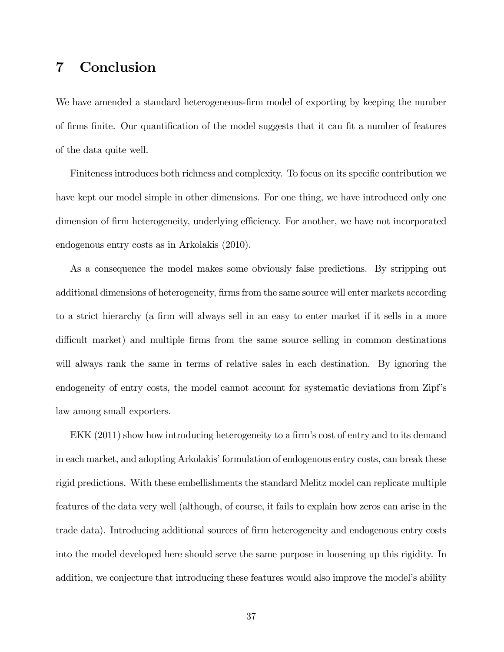# 7 Conclusion

We have amended a standard heterogeneous-firm model of exporting by keeping the number of firms finite. Our quantification of the model suggests that it can fit a number of features of the data quite well.

Finiteness introduces both richness and complexity. To focus on its specific contribution we have kept our model simple in other dimensions. For one thing, we have introduced only one dimension of firm heterogeneity, underlying efficiency. For another, we have not incorporated endogenous entry costs as in Arkolakis (2010).

As a consequence the model makes some obviously false predictions. By stripping out additional dimensions of heterogeneity, firms from the same source will enter markets according to a strict hierarchy (a firm will always sell in an easy to enter market if it sells in a more difficult market) and multiple firms from the same source selling in common destinations will always rank the same in terms of relative sales in each destination. By ignoring the endogeneity of entry costs, the model cannot account for systematic deviations from Zipf's law among small exporters.

EKK (2011) show how introducing heterogeneity to a firm's cost of entry and to its demand in each market, and adopting Arkolakis' formulation of endogenous entry costs, can break these rigid predictions. With these embellishments the standard Melitz model can replicate multiple features of the data very well (although, of course, it fails to explain how zeros can arise in the trade data). Introducing additional sources of firm heterogeneity and endogenous entry costs into the model developed here should serve the same purpose in loosening up this rigidity. In addition, we conjecture that introducing these features would also improve the model's ability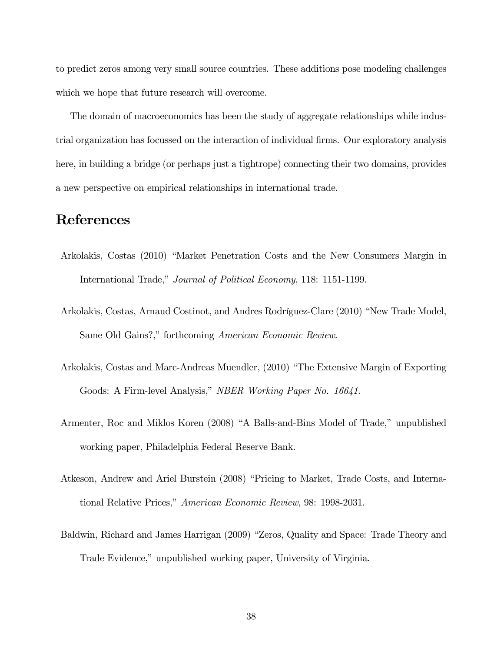to predict zeros among very small source countries. These additions pose modeling challenges which we hope that future research will overcome.

The domain of macroeconomics has been the study of aggregate relationships while industrial organization has focussed on the interaction of individual firms. Our exploratory analysis here, in building a bridge (or perhaps just a tightrope) connecting their two domains, provides a new perspective on empirical relationships in international trade.

# References

- Arkolakis, Costas (2010) "Market Penetration Costs and the New Consumers Margin in International Trade," Journal of Political Economy, 118: 1151-1199.
- Arkolakis, Costas, Arnaud Costinot, and Andres Rodríguez-Clare (2010) "New Trade Model, Same Old Gains?," forthcoming American Economic Review.
- Arkolakis, Costas and Marc-Andreas Muendler, (2010) "The Extensive Margin of Exporting Goods: A Firm-level Analysis," NBER Working Paper No. 16641.
- Armenter, Roc and Miklos Koren (2008) "A Balls-and-Bins Model of Trade," unpublished working paper, Philadelphia Federal Reserve Bank.
- Atkeson, Andrew and Ariel Burstein (2008) "Pricing to Market, Trade Costs, and International Relative Prices," American Economic Review, 98: 1998-2031.
- Baldwin, Richard and James Harrigan (2009) "Zeros, Quality and Space: Trade Theory and Trade Evidence," unpublished working paper, University of Virginia.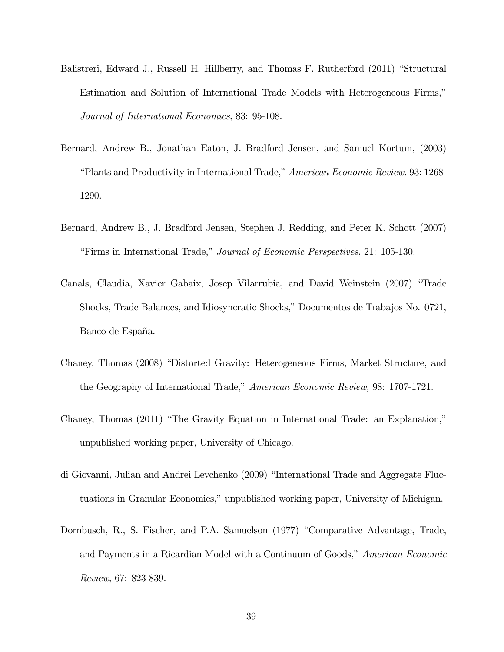- Balistreri, Edward J., Russell H. Hillberry, and Thomas F. Rutherford (2011) "Structural Estimation and Solution of International Trade Models with Heterogeneous Firms," Journal of International Economics, 83: 95-108.
- Bernard, Andrew B., Jonathan Eaton, J. Bradford Jensen, and Samuel Kortum, (2003) "Plants and Productivity in International Trade," American Economic Review, 93: 1268- 1290.
- Bernard, Andrew B., J. Bradford Jensen, Stephen J. Redding, and Peter K. Schott (2007) "Firms in International Trade," Journal of Economic Perspectives, 21: 105-130.
- Canals, Claudia, Xavier Gabaix, Josep Vilarrubia, and David Weinstein (2007) "Trade Shocks, Trade Balances, and Idiosyncratic Shocks," Documentos de Trabajos No. 0721, Banco de España.
- Chaney, Thomas (2008) "Distorted Gravity: Heterogeneous Firms, Market Structure, and the Geography of International Trade," American Economic Review, 98: 1707-1721.
- Chaney, Thomas (2011) "The Gravity Equation in International Trade: an Explanation," unpublished working paper, University of Chicago.
- di Giovanni, Julian and Andrei Levchenko (2009) "International Trade and Aggregate Fluctuations in Granular Economies," unpublished working paper, University of Michigan.
- Dornbusch, R., S. Fischer, and P.A. Samuelson (1977) "Comparative Advantage, Trade, and Payments in a Ricardian Model with a Continuum of Goods," American Economic Review, 67: 823-839.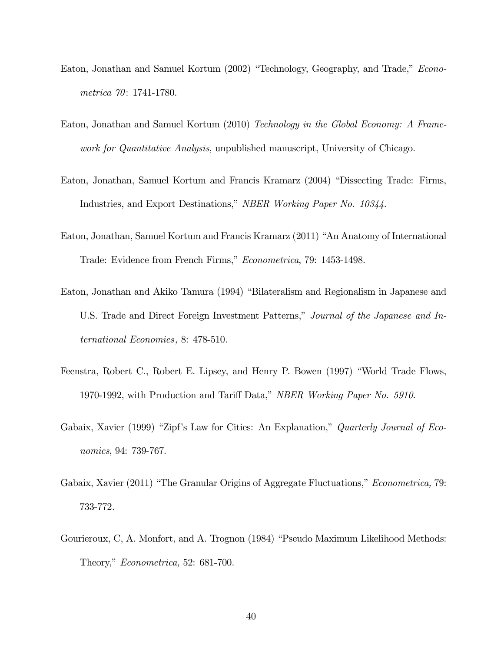- Eaton, Jonathan and Samuel Kortum (2002) "Technology, Geography, and Trade," Econometrica 70: 1741-1780.
- Eaton, Jonathan and Samuel Kortum (2010) Technology in the Global Economy: A Framework for Quantitative Analysis, unpublished manuscript, University of Chicago.
- Eaton, Jonathan, Samuel Kortum and Francis Kramarz (2004) "Dissecting Trade: Firms, Industries, and Export Destinations," NBER Working Paper No. 10344.
- Eaton, Jonathan, Samuel Kortum and Francis Kramarz (2011) "An Anatomy of International Trade: Evidence from French Firms," Econometrica, 79: 1453-1498.
- Eaton, Jonathan and Akiko Tamura (1994) "Bilateralism and Regionalism in Japanese and U.S. Trade and Direct Foreign Investment Patterns," Journal of the Japanese and International Economies, 8: 478-510.
- Feenstra, Robert C., Robert E. Lipsey, and Henry P. Bowen (1997) "World Trade Flows, 1970-1992, with Production and Tariff Data," NBER Working Paper No. 5910.
- Gabaix, Xavier (1999) "Zipf's Law for Cities: An Explanation," Quarterly Journal of Economics, 94: 739-767.
- Gabaix, Xavier (2011) "The Granular Origins of Aggregate Fluctuations," *Econometrica*, 79: 733-772.
- Gourieroux, C, A. Monfort, and A. Trognon (1984) "Pseudo Maximum Likelihood Methods: Theory," Econometrica, 52: 681-700.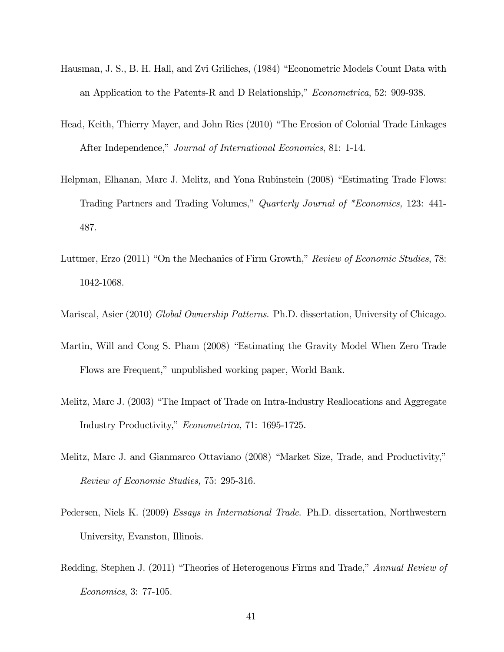- Hausman, J. S., B. H. Hall, and Zvi Griliches, (1984) "Econometric Models Count Data with an Application to the Patents-R and D Relationship," Econometrica, 52: 909-938.
- Head, Keith, Thierry Mayer, and John Ries (2010) "The Erosion of Colonial Trade Linkages After Independence," Journal of International Economics, 81: 1-14.
- Helpman, Elhanan, Marc J. Melitz, and Yona Rubinstein (2008) "Estimating Trade Flows: Trading Partners and Trading Volumes," Quarterly Journal of \*Economics, 123: 441- 487.
- Luttmer, Erzo (2011) "On the Mechanics of Firm Growth," Review of Economic Studies, 78: 1042-1068.
- Mariscal, Asier (2010) Global Ownership Patterns. Ph.D. dissertation, University of Chicago.
- Martin, Will and Cong S. Pham (2008) "Estimating the Gravity Model When Zero Trade Flows are Frequent," unpublished working paper, World Bank.
- Melitz, Marc J. (2003) "The Impact of Trade on Intra-Industry Reallocations and Aggregate Industry Productivity," Econometrica, 71: 1695-1725.
- Melitz, Marc J. and Gianmarco Ottaviano (2008) "Market Size, Trade, and Productivity," Review of Economic Studies, 75: 295-316.
- Pedersen, Niels K. (2009) Essays in International Trade. Ph.D. dissertation, Northwestern University, Evanston, Illinois.
- Redding, Stephen J. (2011) "Theories of Heterogenous Firms and Trade," Annual Review of Economics, 3: 77-105.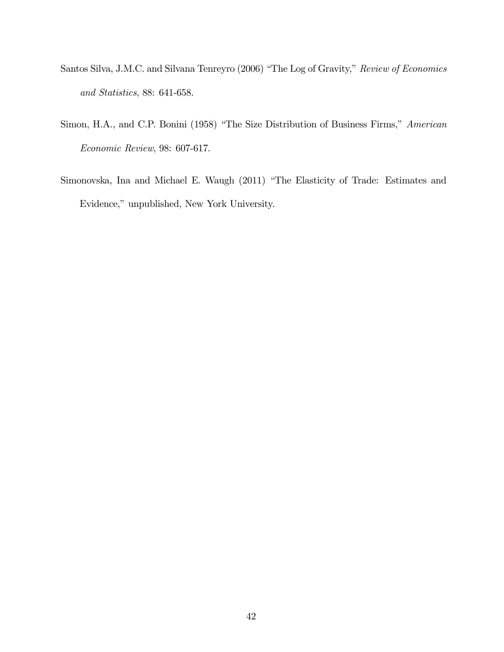- Santos Silva, J.M.C. and Silvana Tenreyro (2006) "The Log of Gravity," Review of Economics and Statistics, 88: 641-658.
- Simon, H.A., and C.P. Bonini (1958) "The Size Distribution of Business Firms," American Economic Review, 98: 607-617.
- Simonovska, Ina and Michael E. Waugh (2011) "The Elasticity of Trade: Estimates and Evidence," unpublished, New York University.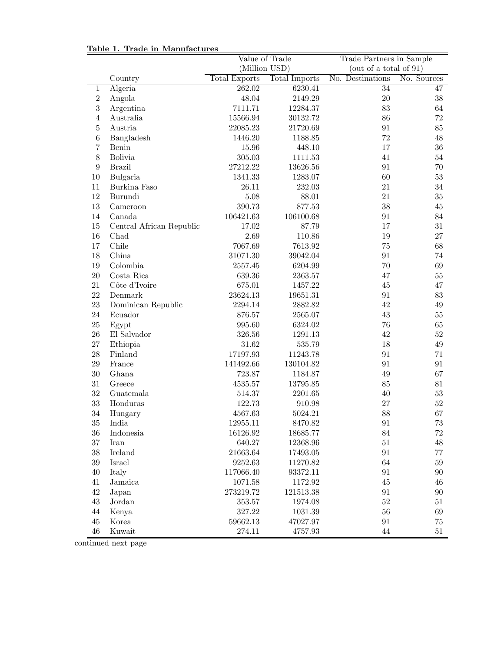### Table 1. Trade in Manufactures

|                  |                          | Value of Trade                               |               | Trade Partners in Sample  |             |  |
|------------------|--------------------------|----------------------------------------------|---------------|---------------------------|-------------|--|
|                  |                          | (Million USD)                                |               | (out of a total of $91$ ) |             |  |
|                  | Country                  | <b>Total Exports</b><br><b>Total Imports</b> |               | No. Destinations          | No. Sources |  |
| 1                | Algeria                  | 262.02                                       | 6230.41       | 34                        | 47          |  |
| $\,2$            | Angola                   | 48.04                                        | 2149.29       | $20\,$                    | $38\,$      |  |
| $\sqrt{3}$       | Argentina                | 7111.71                                      | 12284.37      | 83                        | 64          |  |
| $\overline{4}$   | Australia                | 15566.94                                     | 30132.72      | 86                        | 72          |  |
| $\mathbf 5$      | Austria                  | 22085.23                                     | 21720.69      | 91                        | $85\,$      |  |
| $\,6$            | Bangladesh               | 1446.20                                      | 1188.85       | $72\,$                    | 48          |  |
| $\overline{7}$   | Benin                    | 15.96                                        | 448.10        | 17                        | $36\,$      |  |
| $8\,$            | <b>Bolivia</b>           | $305.03\,$                                   | 1111.53       | 41                        | $54\,$      |  |
| $\boldsymbol{9}$ | <b>Brazil</b>            | 27212.22                                     | 13626.56      | 91                        | $70\,$      |  |
| $10\,$           | Bulgaria                 | 1341.33                                      | 1283.07       | 60                        | 53          |  |
| 11               | Burkina Faso             | 26.11                                        | 232.03        | 21                        | 34          |  |
| 12               | Burundi                  | 5.08                                         | 88.01         | 21                        | 35          |  |
| 13               | Cameroon                 | 390.73                                       | 877.53        | 38                        | $\rm 45$    |  |
| $14\,$           | Canada                   | 106421.63                                    | 106100.68     | 91                        | 84          |  |
| 15               | Central African Republic | 17.02                                        | 87.79         | 17                        | $31\,$      |  |
| 16               | Chad                     | 2.69                                         | 110.86        | 19                        | 27          |  |
| 17               | Chile                    | 7067.69                                      | 7613.92       | $75\,$                    | 68          |  |
| 18               | China                    | $31071.30\,$                                 | 39042.04      | 91                        | 74          |  |
| 19               | Colombia                 | 2557.45                                      | 6204.99       | 70                        | 69          |  |
| 20               | Costa Rica               | 639.36                                       | 2363.57       | 47                        | $55\,$      |  |
| 21               | Côte d'Ivoire            | 675.01                                       | 1457.22       | $45\,$                    | 47          |  |
| $22\,$           | Demmark                  | 23624.13                                     | 19651.31      | 91                        | $83\,$      |  |
| 23               | Dominican Republic       | 2294.14                                      | 2882.82       | 42                        | $49\,$      |  |
| 24               | Ecuador                  | 876.57                                       | 2565.07       | 43                        | $55\,$      |  |
| 25               | Egypt                    | 995.60                                       | 6324.02       | 76                        | 65          |  |
| ${\bf 26}$       | El Salvador              | 326.56                                       | 1291.13       | 42                        | $52\,$      |  |
| $27\,$           | Ethiopia                 | 31.62                                        | 535.79        | 18                        | $49\,$      |  |
| 28               | Finland                  | 17197.93                                     | 11243.78      | 91                        | 71          |  |
| $\,29$           | France                   | 141492.66                                    | 130104.82     | 91                        | 91          |  |
| $30\,$           | Ghana                    | 723.87                                       | 1184.87       | $49\,$                    | 67          |  |
| $31\,$           | Greece                   | 4535.57                                      | 13795.85      | $85\,$                    | 81          |  |
| $32\,$           | Guatemala                | 514.37                                       | 2201.65       | $40\,$                    | $53\,$      |  |
| 33               | Honduras                 | 122.73                                       | 910.98        | 27                        | $52\,$      |  |
| 34               | Hungary                  | 4567.63                                      | 5024.21       | 88                        | 67          |  |
| $35\,$           | India                    | 12955.11                                     | 8470.82       | $\rm 91$                  | $73\,$      |  |
| 36               | Indonesia                | 16126.92                                     | 18685.77      | 84                        | 72          |  |
| $37\,$           | Iran                     | 640.27                                       | 12368.96      | $51\,$                    | 48          |  |
| $38\,$           | Ireland                  | 21663.64                                     | 17493.05      | 91                        | $77\,$      |  |
| $39\,$           | Israel                   | 9252.63                                      | 11270.82      | $64\,$                    | $59\,$      |  |
| $40\,$           | Italy                    | 117066.40                                    | 93372.11      | 91                        | $90\,$      |  |
| $41\,$           | Jamaica                  | 1071.58                                      | 1172.92       | $45\,$                    | 46          |  |
| $42\,$           | Japan                    | 273219.72                                    | 121513.38     | 91                        | $90\,$      |  |
| $43\,$           | Jordan                   | 353.57                                       | 1974.08       | $52\,$                    | 51          |  |
| $44\,$           | Kenya                    | $327.22\,$                                   | 1031.39       | $56\,$                    | 69          |  |
| 45               | Korea                    | 59662.13                                     | 47027.97      | 91                        | 75          |  |
| $46\,$           | Kuwait                   | 274.11                                       | $\rm 4757.93$ | $44\,$                    | 51          |  |

continued next page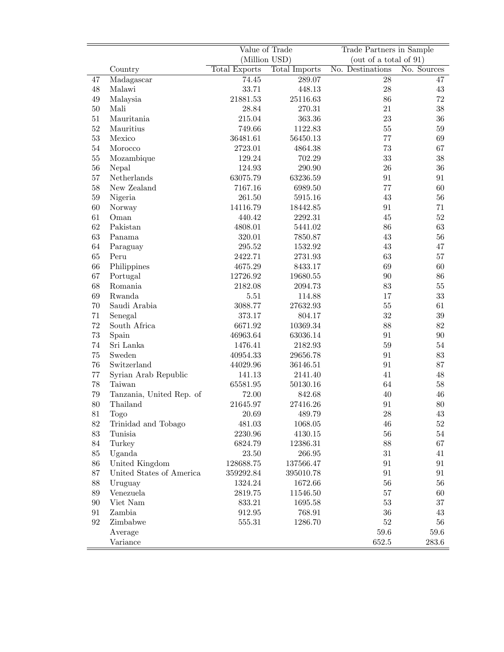|        |                          | Value of Trade<br>(Million USD)       |           | Trade Partners in Sample<br>(out of a total of $91$ ) |        |
|--------|--------------------------|---------------------------------------|-----------|-------------------------------------------------------|--------|
|        | Country                  | <b>Total Exports</b><br>Total Imports |           | No. Destinations<br>No. Sources                       |        |
| 47     | Madagascar               | 74.45                                 | 289.07    | $\overline{28}$                                       | 47     |
| $48\,$ | Malawi                   | 33.71                                 | 448.13    | ${\bf 28}$                                            | $43\,$ |
| 49     | Malaysia                 | 21881.53                              | 25116.63  | 86                                                    | 72     |
| $50\,$ | Mali                     | 28.84                                 | 270.31    | 21                                                    | $38\,$ |
| 51     | Mauritania               | 215.04                                | 363.36    | 23                                                    | $36\,$ |
| 52     | Mauritius                | 749.66                                | 1122.83   | $55\,$                                                | $59\,$ |
| 53     | Mexico                   | 36481.61                              | 56450.13  | 77                                                    | 69     |
| $54\,$ | Morocco                  | 2723.01                               | 4864.38   | $73\,$                                                | 67     |
| $55\,$ |                          | 129.24                                | 702.29    | 33                                                    | $38\,$ |
| 56     | Mozambique               |                                       |           | 26                                                    | $36\,$ |
|        | Nepal                    | 124.93                                | 290.90    |                                                       |        |
| 57     | Netherlands              | 63075.79                              | 63236.59  | $\rm 91$                                              | 91     |
| 58     | New Zealand              | 7167.16                               | 6989.50   | 77                                                    | $60\,$ |
| $59\,$ | Nigeria                  | 261.50                                | 5915.16   | $43\,$                                                | $56\,$ |
| 60     | Norway                   | 14116.79                              | 18442.85  | 91                                                    | 71     |
| 61     | Oman                     | 440.42                                | 2292.31   | 45                                                    | $52\,$ |
| 62     | Pakistan                 | 4808.01                               | 5441.02   | 86                                                    | $63\,$ |
| 63     | Panama                   | 320.01                                | 7850.87   | 43                                                    | 56     |
| 64     | Paraguay                 | 295.52                                | 1532.92   | 43                                                    | $47\,$ |
| 65     | Peru                     | 2422.71                               | 2731.93   | 63                                                    | 57     |
| 66     | Philippines              | 4675.29                               | 8433.17   | 69                                                    | 60     |
| 67     | Portugal                 | 12726.92                              | 19680.55  | 90                                                    | 86     |
| 68     | Romania                  | 2182.08                               | 2094.73   | 83                                                    | $55\,$ |
| 69     | Rwanda                   | $5.51\,$                              | 114.88    | 17                                                    | 33     |
| 70     | Saudi Arabia             | 3088.77                               | 27632.93  | $55\,$                                                | 61     |
| 71     | Senegal                  | 373.17                                | 804.17    | 32                                                    | $39\,$ |
| 72     | South Africa             | 6671.92                               | 10369.34  | 88                                                    | $82\,$ |
| 73     | Spain                    | 46963.64                              | 63036.14  | 91                                                    | $90\,$ |
| 74     | Sri Lanka                | 1476.41                               | 2182.93   | 59                                                    | 54     |
| 75     | Sweden                   | 40954.33                              | 29656.78  | 91                                                    | $83\,$ |
| 76     | Switzerland              | 44029.96                              | 36146.51  | 91                                                    | 87     |
| 77     | Syrian Arab Republic     | 141.13                                | 2141.40   | 41                                                    | 48     |
| 78     | Taiwan                   | 65581.95                              | 50130.16  | 64                                                    | $58\,$ |
| 79     | Tanzania, United Rep. of | 72.00                                 | 842.68    | 40                                                    | 46     |
| $80\,$ | Thailand                 | 21645.97                              | 27416.26  | $\rm 91$                                              | 80     |
| 81     | <b>Togo</b>              | 20.69                                 | 489.79    | $\sqrt{28}$                                           | 43     |
| 82     | Trinidad and Tobago      | 481.03                                | 1068.05   | $46\,$                                                | $52\,$ |
| 83     | Tunisia                  | 2230.96                               | 4130.15   | 56                                                    | $54\,$ |
| 84     | Turkey                   | 6824.79                               | 12386.31  | 88                                                    | 67     |
| 85     | Uganda                   | $23.50\,$                             | 266.95    | $31\,$                                                | 41     |
| 86     | United Kingdom           | 128688.75                             | 137566.47 | 91                                                    | 91     |
| 87     | United States of America | 359292.84                             | 395010.78 | 91                                                    | 91     |
| 88     | Uruguay                  | 1324.24                               | 1672.66   | $56\,$                                                | $56\,$ |
| 89     | Venezuela                | 2819.75                               | 11546.50  | 57                                                    | 60     |
| 90     | Viet Nam                 | 833.21                                | 1695.58   | $53\,$                                                | $37\,$ |
| 91     | Zambia                   | 912.95                                | 768.91    | $36\,$                                                | 43     |
| 92     | Zimbabwe                 | $555.31\,$                            | 1286.70   | $52\,$                                                | 56     |
|        | Average                  |                                       |           | 59.6                                                  | 59.6   |
|        | Variance                 |                                       |           | 652.5                                                 | 283.6  |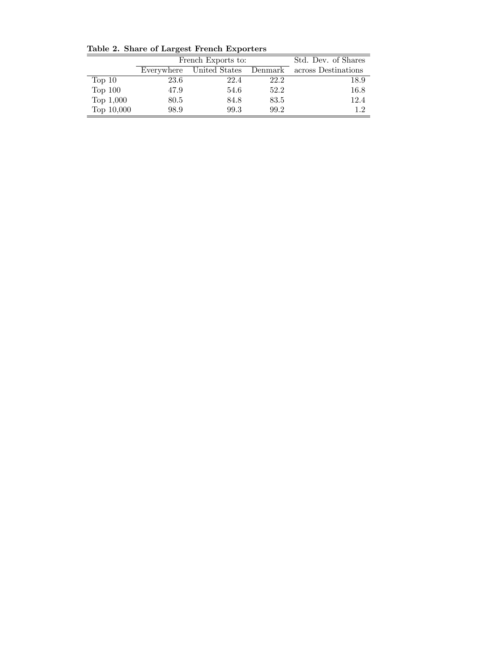|                   |                                     | French Exports to:  | Std. Dev. of Shares |      |
|-------------------|-------------------------------------|---------------------|---------------------|------|
|                   | United States Denmark<br>Everywhere | across Destinations |                     |      |
| Top <sub>10</sub> | 23.6                                | 22.4                | 22.2                | 18.9 |
| Top $100$         | 47.9                                | 54.6                | 52.2                | 16.8 |
| Top $1,000$       | 80.5                                | 84.8                | 83.5                | 12.4 |
| Top 10,000        | 98.9                                | 99.3                | 99.2                | 12   |

Table 2. Share of Largest French Exporters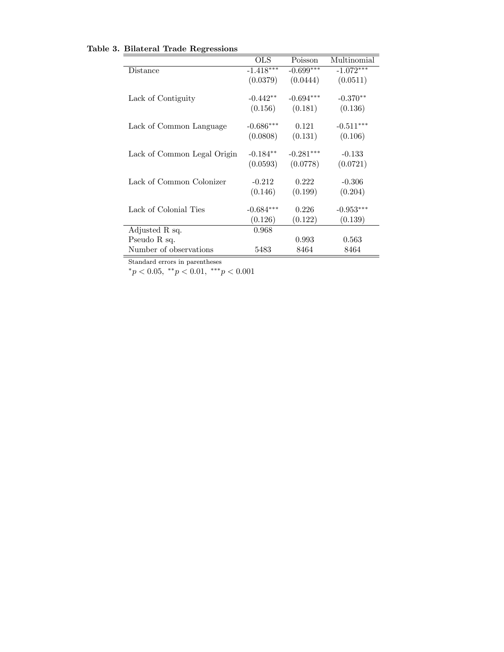| <b>OLS</b>  | Poisson                                           | Multinomial               |
|-------------|---------------------------------------------------|---------------------------|
| $-1.418***$ | $-0.699***$                                       | $-1.072***$               |
| (0.0379)    | (0.0444)                                          | (0.0511)                  |
|             |                                                   |                           |
| $-0.442**$  | $-0.694***$                                       | $-0.370**$                |
| (0.156)     | (0.181)                                           | (0.136)                   |
|             |                                                   |                           |
|             | 0.121                                             | $-0.511***$               |
| (0.0808)    | (0.131)                                           | (0.106)                   |
|             |                                                   |                           |
| $-0.184**$  | $-0.281***$                                       | $-0.133$                  |
| (0.0593)    | (0.0778)                                          | (0.0721)                  |
|             |                                                   |                           |
|             |                                                   | $-0.306$                  |
| (0.146)     | (0.199)                                           | (0.204)                   |
|             |                                                   |                           |
|             |                                                   | $-0.953***$               |
|             |                                                   | (0.139)                   |
| 0.968       |                                                   |                           |
|             | 0.993                                             | 0.563                     |
| 5483        | 8464                                              | 8464                      |
|             | $-0.686***$<br>$-0.212$<br>$-0.684***$<br>(0.126) | 0.222<br>0.226<br>(0.122) |

Table 3. Bilateral Trade Regressions

Standard errors in parentheses

 $*_{p} < 0.05, *_{p} < 0.01, *_{p} < 0.001$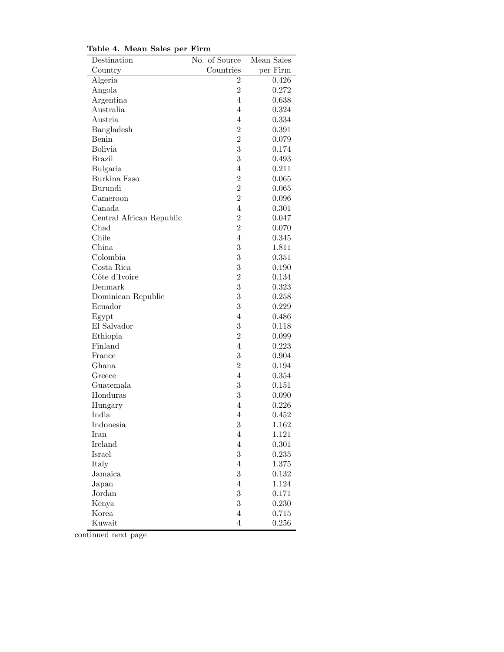| rable 4. ivream bares per | т п ш          |            |
|---------------------------|----------------|------------|
| Destination               | No. of Source  | Mean Sales |
| Country                   | Countries      | per Firm   |
| Algeria                   | $\overline{2}$ | 0.426      |
| Angola                    | $\overline{2}$ | 0.272      |
| Argentina                 | $\overline{4}$ | 0.638      |
| Australia                 | $\overline{4}$ | 0.324      |
| Austria                   | $\overline{4}$ | 0.334      |
| Bangladesh                | $\overline{2}$ | 0.391      |
| Benin                     | $\overline{2}$ | 0.079      |
| <b>Bolivia</b>            | 3              | 0.174      |
| <b>Brazil</b>             | 3              | 0.493      |
| Bulgaria                  | $\overline{4}$ | 0.211      |
| Burkina Faso              | $\overline{2}$ | 0.065      |
| Burundi                   | $\overline{2}$ | 0.065      |
| Cameroon                  | $\overline{2}$ | 0.096      |
| Canada                    | $\overline{4}$ | 0.301      |
| Central African Republic  | $\overline{2}$ | 0.047      |
| Chad                      | $\overline{2}$ | 0.070      |
| Chile                     | $\overline{4}$ | 0.345      |
| China                     | 3              | 1.811      |
| Colombia                  | 3              | 0.351      |
| Costa Rica                | 3              | 0.190      |
| Côte d'Ivoire             | $\overline{2}$ | 0.134      |
| Denmark                   | 3              | 0.323      |
| Dominican Republic        | 3              | 0.258      |
| Ecuador                   | 3              | 0.229      |
| Egypt                     | $\overline{4}$ | 0.486      |
| El Salvador               | 3              | 0.118      |
| Ethiopia                  | $\overline{2}$ | 0.099      |
| Finland                   | $\overline{4}$ | 0.223      |
| France                    | 3              | 0.904      |
| Ghana                     | $\overline{2}$ | 0.194      |
| Greece                    | 4              | 0.354      |
| Guatemala                 | 3              | 0.151      |
| Honduras                  | 3              | 0.090      |
| Hungary                   | $\overline{4}$ | 0.226      |
| India                     | 4              | 0.452      |
| Indonesia                 | 3              | 1.162      |
| Iran                      | $\overline{4}$ | 1.121      |
| Ireland                   | $\overline{4}$ | 0.301      |
| Israel                    | 3              | 0.235      |
| Italy                     | $\overline{4}$ | 1.375      |
| Jamaica                   | 3              | 0.132      |
| Japan                     | $\overline{4}$ | 1.124      |
| Jordan                    | 3              | 0.171      |
| Kenya                     | 3              | 0.230      |
| Korea                     | $\overline{4}$ | 0.715      |
| Kuwait                    | $\overline{4}$ | 0.256      |

Table 4. Mean Sales per Firm

continued next page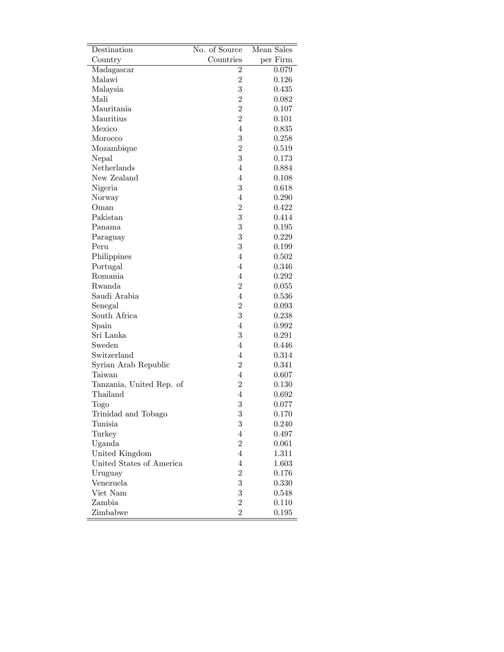| Destination              | No. of Source  | Mean Sales |
|--------------------------|----------------|------------|
| Country                  | Countries      | per Firm   |
| Madagascar               | $\overline{2}$ | 0.079      |
| Malawi                   | $\overline{2}$ | 0.126      |
| Malaysia                 | 3              | $0.435\,$  |
| Mali                     | $\overline{2}$ | 0.082      |
| Mauritania               | $\overline{2}$ | 0.107      |
| Mauritius                | $\overline{2}$ | 0.101      |
| Mexico                   | $\overline{4}$ | 0.835      |
| Morocco                  | 3              | 0.258      |
| Mozambique               | $\overline{2}$ | 0.519      |
| Nepal                    | 3              | 0.173      |
| Netherlands              | $\overline{4}$ | 0.884      |
| New Zealand              | $\overline{4}$ | 0.108      |
| Nigeria                  | 3              | 0.618      |
| Norway                   | $\overline{4}$ | 0.290      |
| Oman                     | $\overline{2}$ | $0.422\,$  |
| Pakistan                 | 3              | 0.414      |
| Panama                   | 3              | 0.195      |
| Paraguay                 | 3              | 0.229      |
| Peru                     | 3              | 0.199      |
| Philippines              | $\overline{4}$ | 0.502      |
| Portugal                 | $\overline{4}$ | 0.346      |
| Romania                  | $\overline{4}$ | 0.292      |
| Rwanda                   | $\overline{2}$ | 0.055      |
| Saudi Arabia             | $\overline{4}$ | 0.536      |
| Senegal                  | $\overline{2}$ | 0.093      |
| South Africa             | 3              | 0.238      |
| Spain                    | $\overline{4}$ | 0.992      |
| Sri Lanka                | 3              | 0.291      |
| Sweden                   | $\overline{4}$ | 0.446      |
| Switzerland              | $\overline{4}$ | 0.314      |
| Syrian Arab Republic     | $\overline{2}$ | 0.341      |
| Taiwan                   | $\overline{4}$ | 0.607      |
| Tanzania, United Rep. of | $\overline{2}$ | 0.130      |
| Thailand                 | $\overline{4}$ | 0.692      |
| Togo                     | 3              | 0.077      |
| Trinidad and Tobago      | 3              | 0.170      |
| Tunisia                  | 3              | 0.240      |
| Turkey                   | $\overline{4}$ | 0.497      |
| Uganda                   | $\overline{2}$ | 0.061      |
| United Kingdom           | $\overline{4}$ | 1.311      |
| United States of America | $\overline{4}$ | $1.603\,$  |
| Uruguay                  | $\overline{2}$ | 0.176      |
| Venezuela                | 3              | 0.330      |
| Viet Nam                 | 3              | 0.548      |
| Zambia                   | $\overline{2}$ | 0.110      |
| Zimbabwe                 | $\overline{2}$ | 0.195      |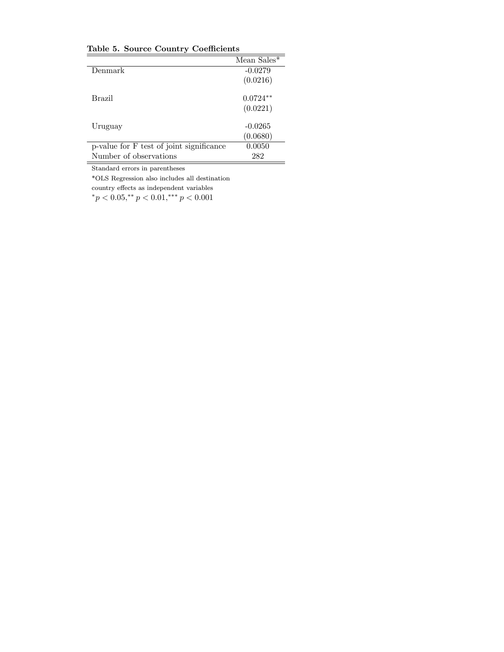Table 5. Source Country Coefficients

|                                          | Mean Sales* |
|------------------------------------------|-------------|
| Denmark                                  | $-0.0279$   |
|                                          | (0.0216)    |
| Brazil                                   | $0.0724**$  |
|                                          | (0.0221)    |
| Uruguay                                  | $-0.0265$   |
|                                          | (0.0680)    |
| p-value for F test of joint significance | 0.0050      |
| Number of observations                   | 282         |

Standard errors in parentheses

\*OLS Regression also includes all destination

 $\operatorname{country}$  effects as independent variables  $p < 0.05$ ,\*\*  $p < 0.01$ ,\*\*\*  $p < 0.001$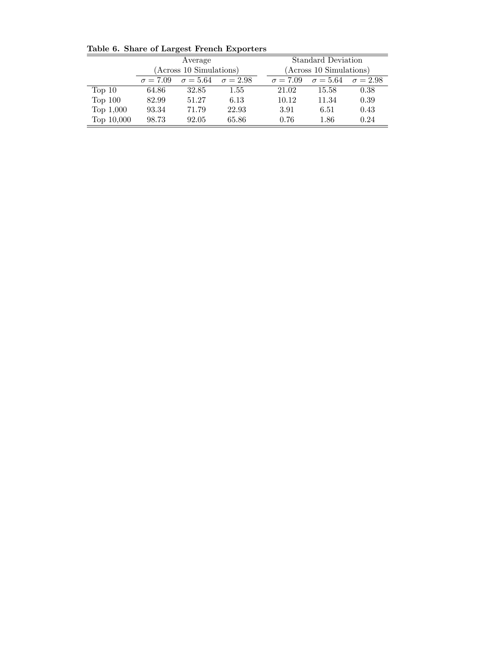|                   | Average                                            |       |                 | <b>Standard Deviation</b>           |       |      |
|-------------------|----------------------------------------------------|-------|-----------------|-------------------------------------|-------|------|
|                   | (Across 10 Simulations)                            |       |                 | (Across 10 Simulations)             |       |      |
|                   | $\sigma = 5.64$ $\sigma = 2.98$<br>$\sigma = 7.09$ |       | $\sigma = 7.09$ | $\sigma = 5.64 \quad \sigma = 2.98$ |       |      |
| Top <sub>10</sub> | 64.86                                              | 32.85 | $1.55\,$        | 21.02                               | 15.58 | 0.38 |
| Top $100$         | 82.99                                              | 51.27 | 6.13            | 10.12                               | 11.34 | 0.39 |
| Top $1,000$       | 93.34                                              | 71.79 | 22.93           | 3.91                                | 6.51  | 0.43 |
| Top 10,000        | 98.73                                              | 92.05 | 65.86           | 0.76                                | 1.86  | 0.24 |

Table 6. Share of Largest French Exporters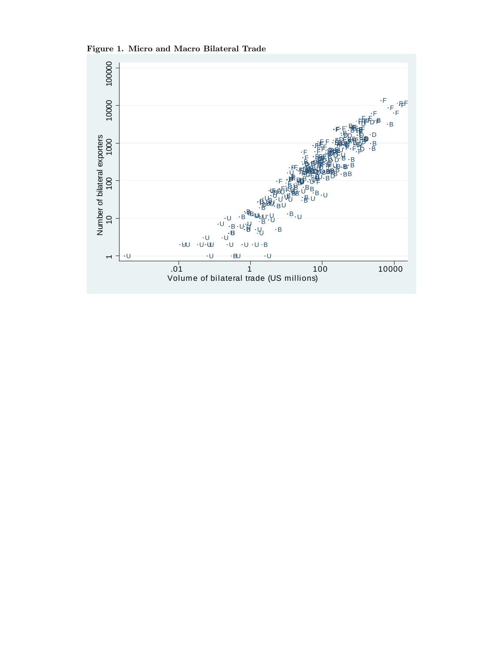

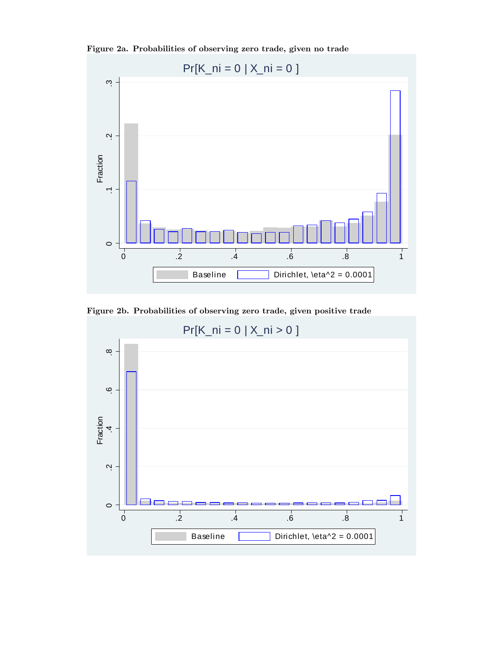Figure 2a. Probabilities of observing zero trade, given no trade



Figure 2b. Probabilities of observing zero trade, given positive trade

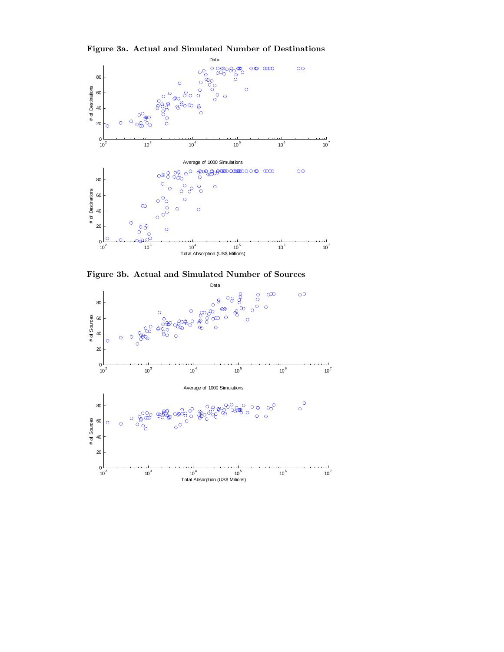

Figure 3a. Actual and Simulated Number of Destinations



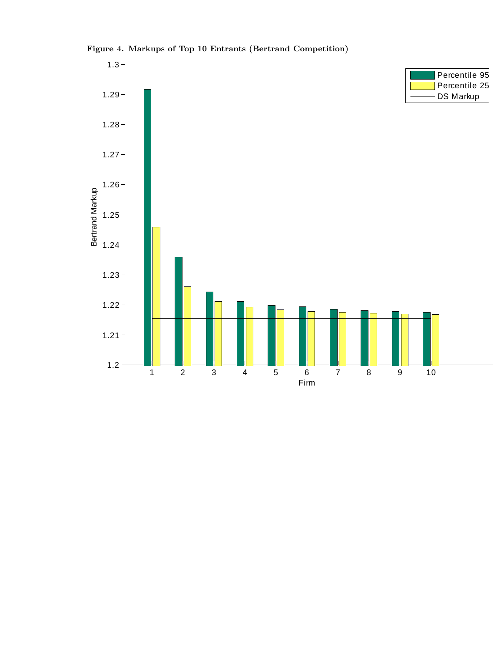

## Figure 4. Markups of Top 10 Entrants (Bertrand Competition)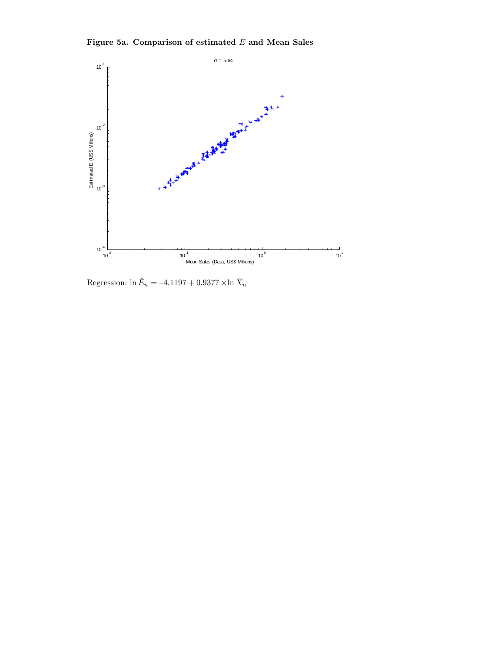Figure 5a. Comparison of estimated  $\bar{E}$  and Mean Sales



Regression:  $\ln \hat{E}_n = -4.1197 + 0.9377 \times \ln \bar{X}_n$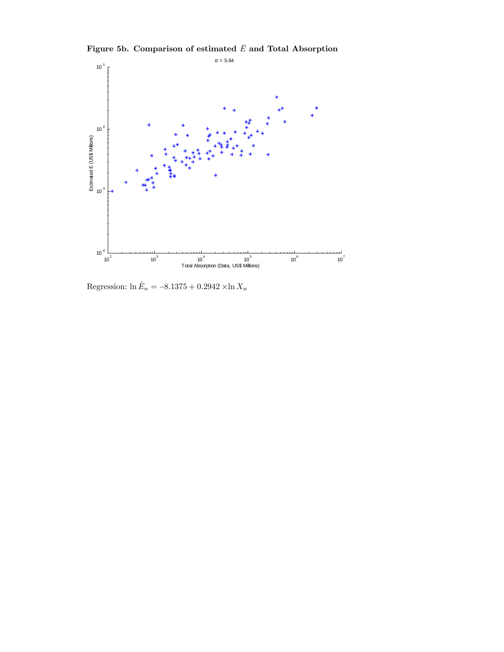

Figure 5b. Comparison of estimated  $\bar{E}$  and Total Absorption

Regression:  $\ln \hat{E}_n = -8.1375 + 0.2942 \times \ln X_n$